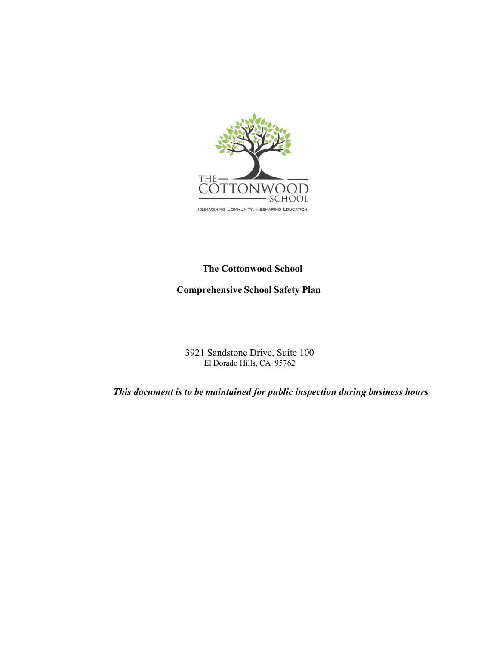

### **The Cottonwood School**

# **Comprehensive School Safety Plan**

3921 Sandstone Drive, Suite 100 El Dorado Hills, CA 95762

*This document is to be maintained for public inspection during business hours*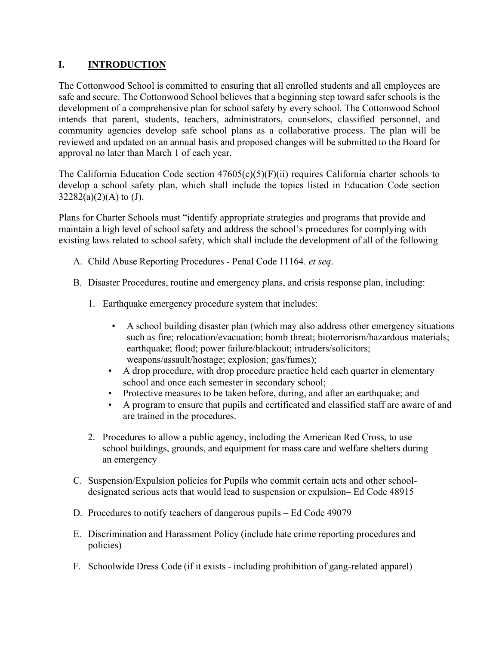# **I. INTRODUCTION**

The Cottonwood School is committed to ensuring that all enrolled students and all employees are safe and secure. The Cottonwood School believes that a beginning step toward safer schools is the development of a comprehensive plan for school safety by every school. The Cottonwood School intends that parent, students, teachers, administrators, counselors, classified personnel, and community agencies develop safe school plans as a collaborative process. The plan will be reviewed and updated on an annual basis and proposed changes will be submitted to the Board for approval no later than March 1 of each year.

The California Education Code section  $47605(c)(5)(F)(ii)$  requires California charter schools to develop a school safety plan, which shall include the topics listed in Education Code section  $32282(a)(2)(A)$  to (J).

Plans for Charter Schools must "identify appropriate strategies and programs that provide and maintain a high level of school safety and address the school's procedures for complying with existing laws related to school safety, which shall include the development of all of the following

- A. Child Abuse Reporting Procedures Penal Code 11164. *et seq*.
- B. Disaster Procedures, routine and emergency plans, and crisis response plan, including:
	- 1. Earthquake emergency procedure system that includes:
		- A school building disaster plan (which may also address other emergency situations such as fire; relocation/evacuation; bomb threat; bioterrorism/hazardous materials; earthquake; flood; power failure/blackout; intruders/solicitors; weapons/assault/hostage; explosion; gas/fumes);
		- A drop procedure, with drop procedure practice held each quarter in elementary school and once each semester in secondary school;
		- Protective measures to be taken before, during, and after an earthquake; and
		- A program to ensure that pupils and certificated and classified staff are aware of and are trained in the procedures.
	- 2. Procedures to allow a public agency, including the American Red Cross, to use school buildings, grounds, and equipment for mass care and welfare shelters during an emergency
- C. Suspension/Expulsion policies for Pupils who commit certain acts and other schooldesignated serious acts that would lead to suspension or expulsion– Ed Code 48915
- D. Procedures to notify teachers of dangerous pupils Ed Code 49079
- E. Discrimination and Harassment Policy (include hate crime reporting procedures and policies)
- F. Schoolwide Dress Code (if it exists including prohibition of gang-related apparel)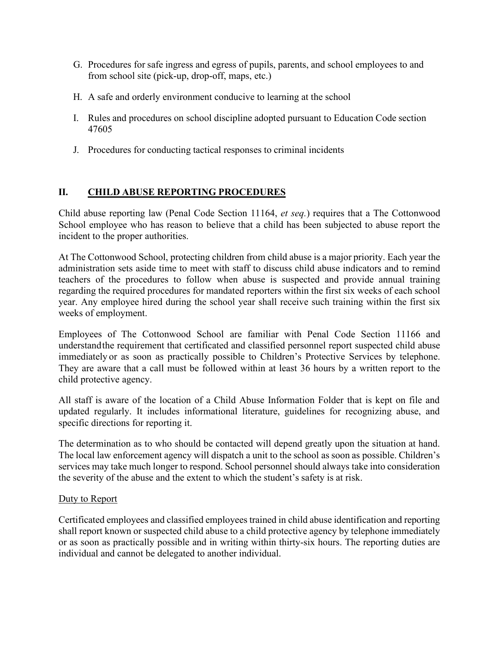- G. Procedures for safe ingress and egress of pupils, parents, and school employees to and from school site (pick-up, drop-off, maps, etc.)
- H. A safe and orderly environment conducive to learning at the school
- I. Rules and procedures on school discipline adopted pursuant to Education Code section 47605
- J. Procedures for conducting tactical responses to criminal incidents

### **II. CHILD ABUSE REPORTING PROCEDURES**

Child abuse reporting law (Penal Code Section 11164, *et seq.*) requires that a The Cottonwood School employee who has reason to believe that a child has been subjected to abuse report the incident to the proper authorities.

At The Cottonwood School, protecting children from child abuse is a major priority. Each year the administration sets aside time to meet with staff to discuss child abuse indicators and to remind teachers of the procedures to follow when abuse is suspected and provide annual training regarding the required procedures for mandated reporters within the first six weeks of each school year. Any employee hired during the school year shall receive such training within the first six weeks of employment.

Employees of The Cottonwood School are familiar with Penal Code Section 11166 and understandthe requirement that certificated and classified personnel report suspected child abuse immediately or as soon as practically possible to Children's Protective Services by telephone. They are aware that a call must be followed within at least 36 hours by a written report to the child protective agency.

All staff is aware of the location of a Child Abuse Information Folder that is kept on file and updated regularly. It includes informational literature, guidelines for recognizing abuse, and specific directions for reporting it.

The determination as to who should be contacted will depend greatly upon the situation at hand. The local law enforcement agency will dispatch a unit to the school as soon as possible. Children's services may take much longer to respond. School personnel should always take into consideration the severity of the abuse and the extent to which the student's safety is at risk.

#### Duty to Report

Certificated employees and classified employees trained in child abuse identification and reporting shall report known or suspected child abuse to a child protective agency by telephone immediately or as soon as practically possible and in writing within thirty-six hours. The reporting duties are individual and cannot be delegated to another individual.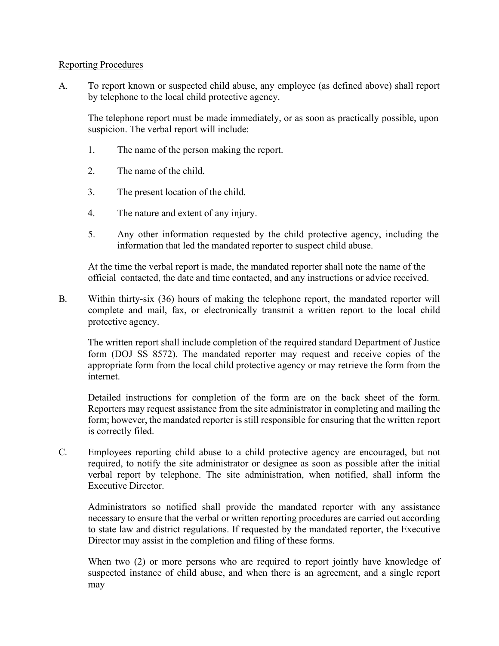#### Reporting Procedures

A. To report known or suspected child abuse, any employee (as defined above) shall report by telephone to the local child protective agency.

The telephone report must be made immediately, or as soon as practically possible, upon suspicion. The verbal report will include:

- 1. The name of the person making the report.
- 2. The name of the child.
- 3. The present location of the child.
- 4. The nature and extent of any injury.
- 5. Any other information requested by the child protective agency, including the information that led the mandated reporter to suspect child abuse.

At the time the verbal report is made, the mandated reporter shall note the name of the official contacted, the date and time contacted, and any instructions or advice received.

B. Within thirty-six (36) hours of making the telephone report, the mandated reporter will complete and mail, fax, or electronically transmit a written report to the local child protective agency.

The written report shall include completion of the required standard Department of Justice form (DOJ SS 8572). The mandated reporter may request and receive copies of the appropriate form from the local child protective agency or may retrieve the form from the internet.

Detailed instructions for completion of the form are on the back sheet of the form. Reporters may request assistance from the site administrator in completing and mailing the form; however, the mandated reporter is still responsible for ensuring that the written report is correctly filed.

C. Employees reporting child abuse to a child protective agency are encouraged, but not required, to notify the site administrator or designee as soon as possible after the initial verbal report by telephone. The site administration, when notified, shall inform the Executive Director.

Administrators so notified shall provide the mandated reporter with any assistance necessary to ensure that the verbal or written reporting procedures are carried out according to state law and district regulations. If requested by the mandated reporter, the Executive Director may assist in the completion and filing of these forms.

When two (2) or more persons who are required to report jointly have knowledge of suspected instance of child abuse, and when there is an agreement, and a single report may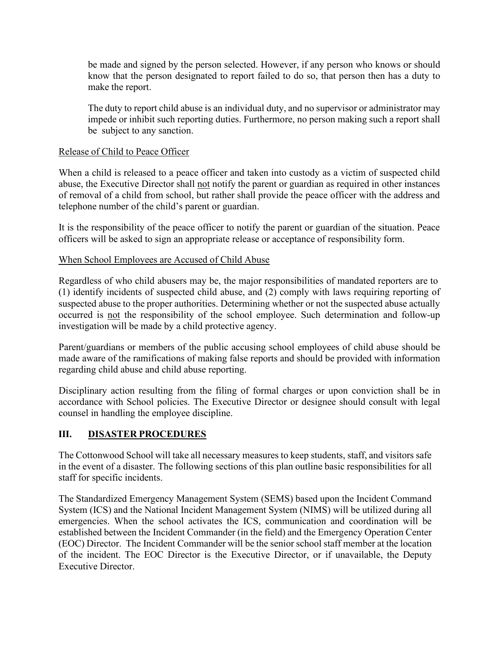be made and signed by the person selected. However, if any person who knows or should know that the person designated to report failed to do so, that person then has a duty to make the report.

The duty to report child abuse is an individual duty, and no supervisor or administrator may impede or inhibit such reporting duties. Furthermore, no person making such a report shall be subject to any sanction.

### Release of Child to Peace Officer

When a child is released to a peace officer and taken into custody as a victim of suspected child abuse, the Executive Director shall not notify the parent or guardian as required in other instances of removal of a child from school, but rather shall provide the peace officer with the address and telephone number of the child's parent or guardian.

It is the responsibility of the peace officer to notify the parent or guardian of the situation. Peace officers will be asked to sign an appropriate release or acceptance of responsibility form.

### When School Employees are Accused of Child Abuse

Regardless of who child abusers may be, the major responsibilities of mandated reporters are to (1) identify incidents of suspected child abuse, and (2) comply with laws requiring reporting of suspected abuse to the proper authorities. Determining whether or not the suspected abuse actually occurred is not the responsibility of the school employee. Such determination and follow-up investigation will be made by a child protective agency.

Parent/guardians or members of the public accusing school employees of child abuse should be made aware of the ramifications of making false reports and should be provided with information regarding child abuse and child abuse reporting.

Disciplinary action resulting from the filing of formal charges or upon conviction shall be in accordance with School policies. The Executive Director or designee should consult with legal counsel in handling the employee discipline.

### **III. DISASTER PROCEDURES**

The Cottonwood School will take all necessary measures to keep students, staff, and visitors safe in the event of a disaster. The following sections of this plan outline basic responsibilities for all staff for specific incidents.

The Standardized Emergency Management System (SEMS) based upon the Incident Command System (ICS) and the National Incident Management System (NIMS) will be utilized during all emergencies. When the school activates the ICS, communication and coordination will be established between the Incident Commander (in the field) and the Emergency Operation Center (EOC) Director. The Incident Commander will be the senior school staff member at the location of the incident. The EOC Director is the Executive Director, or if unavailable, the Deputy Executive Director.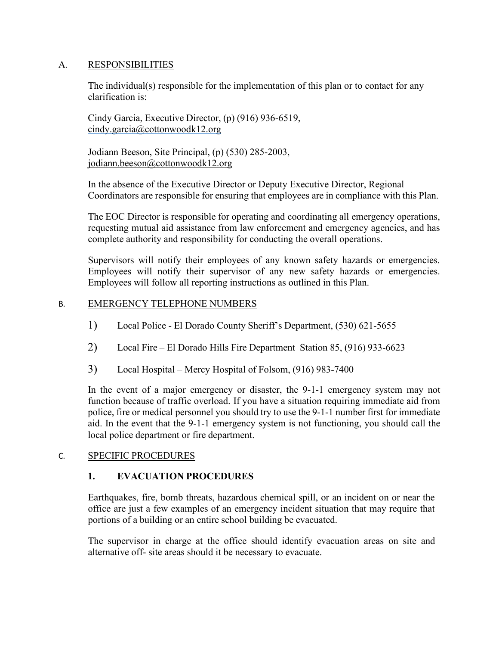#### A. RESPONSIBILITIES

The individual(s) responsible for the implementation of this plan or to contact for any clarification is:

Cindy Garcia, Executive Director, (p) (916) 936-6519, [cindy.garcia@cottonwoodk12.org](mailto:cindy.garcia@cottonwoodk12.org)

Jodiann Beeson, Site Principal, (p) (530) 285-2003, [jodiann.beeson@cottonwoodk12.org](mailto:jodiann.beeson@cottonwoodk12.org)

In the absence of the Executive Director or Deputy Executive Director, Regional Coordinators are responsible for ensuring that employees are in compliance with this Plan.

The EOC Director is responsible for operating and coordinating all emergency operations, requesting mutual aid assistance from law enforcement and emergency agencies, and has complete authority and responsibility for conducting the overall operations.

Supervisors will notify their employees of any known safety hazards or emergencies. Employees will notify their supervisor of any new safety hazards or emergencies. Employees will follow all reporting instructions as outlined in this Plan.

#### B. EMERGENCY TELEPHONE NUMBERS

- 1) Local Police El Dorado County Sheriff's Department, (530) 621-5655
- 2) Local Fire El Dorado Hills Fire Department Station 85, (916) 933-6623
- 3) Local Hospital Mercy Hospital of Folsom, (916) 983-7400

In the event of a major emergency or disaster, the 9-1-1 emergency system may not function because of traffic overload. If you have a situation requiring immediate aid from police, fire or medical personnel you should try to use the 9-1-1 number first for immediate aid. In the event that the 9-1-1 emergency system is not functioning, you should call the local police department or fire department.

#### C. SPECIFIC PROCEDURES

#### **1. EVACUATION PROCEDURES**

Earthquakes, fire, bomb threats, hazardous chemical spill, or an incident on or near the office are just a few examples of an emergency incident situation that may require that portions of a building or an entire school building be evacuated.

The supervisor in charge at the office should identify evacuation areas on site and alternative off- site areas should it be necessary to evacuate.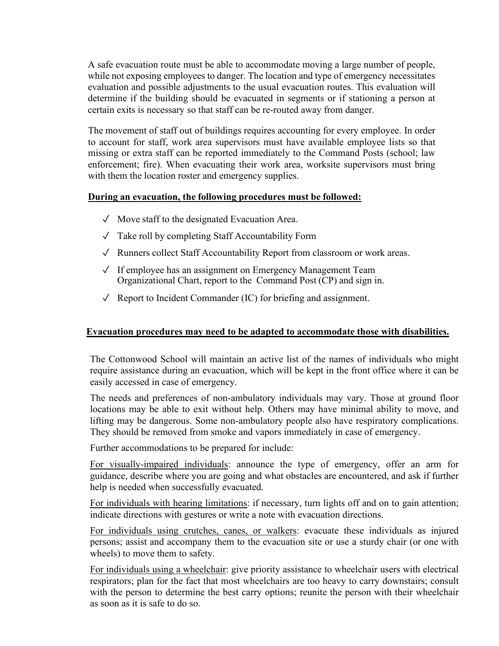A safe evacuation route must be able to accommodate moving a large number of people, while not exposing employees to danger. The location and type of emergency necessitates evaluation and possible adjustments to the usual evacuation routes. This evaluation will determine if the building should be evacuated in segments or if stationing a person at certain exits is necessary so that staff can be re-routed away from danger.

The movement of staff out of buildings requires accounting for every employee. In order to account for staff, work area supervisors must have available employee lists so that missing or extra staff can be reported immediately to the Command Posts (school; law enforcement; fire). When evacuating their work area, worksite supervisors must bring with them the location roster and emergency supplies.

#### **During an evacuation, the following procedures must be followed:**

- $\sqrt{\phantom{a}}$  Move staff to the designated Evacuation Area.
- $\sqrt{\phantom{a}}$  Take roll by completing Staff Accountability Form
- $\sqrt{\phantom{a}}$  Runners collect Staff Accountability Report from classroom or work areas.
- ✓ If employee has an assignment on Emergency Management Team Organizational Chart, report to the Command Post (CP) and sign in.
- $\sqrt{\phantom{a}}$  Report to Incident Commander (IC) for briefing and assignment.

#### **Evacuation procedures may need to be adapted to accommodate those with disabilities.**

The Cottonwood School will maintain an active list of the names of individuals who might require assistance during an evacuation, which will be kept in the front office where it can be easily accessed in case of emergency.

The needs and preferences of non-ambulatory individuals may vary. Those at ground floor locations may be able to exit without help. Others may have minimal ability to move, and lifting may be dangerous. Some non-ambulatory people also have respiratory complications. They should be removed from smoke and vapors immediately in case of emergency.

Further accommodations to be prepared for include:

For visually-impaired individuals: announce the type of emergency, offer an arm for guidance, describe where you are going and what obstacles are encountered, and ask if further help is needed when successfully evacuated.

For individuals with hearing limitations: if necessary, turn lights off and on to gain attention; indicate directions with gestures or write a note with evacuation directions.

For individuals using crutches, canes, or walkers: evacuate these individuals as injured persons; assist and accompany them to the evacuation site or use a sturdy chair (or one with wheels) to move them to safety.

For individuals using a wheelchair: give priority assistance to wheelchair users with electrical respirators; plan for the fact that most wheelchairs are too heavy to carry downstairs; consult with the person to determine the best carry options; reunite the person with their wheelchair as soon as it is safe to do so.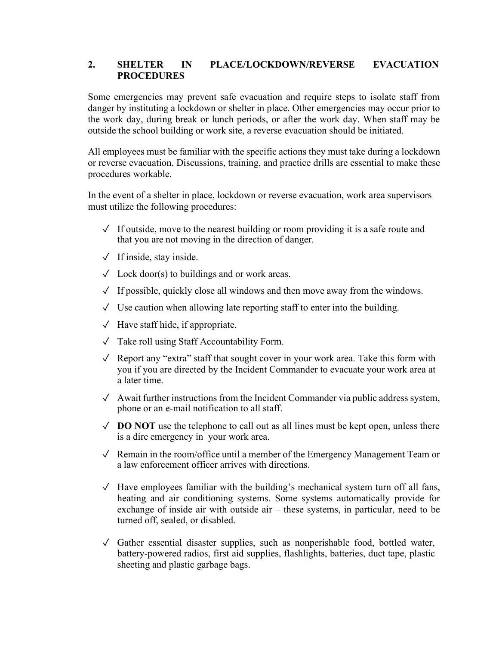### **2. SHELTER IN PLACE/LOCKDOWN/REVERSE EVACUATION PROCEDURES**

Some emergencies may prevent safe evacuation and require steps to isolate staff from danger by instituting a lockdown or shelter in place. Other emergencies may occur prior to the work day, during break or lunch periods, or after the work day. When staff may be outside the school building or work site, a reverse evacuation should be initiated.

All employees must be familiar with the specific actions they must take during a lockdown or reverse evacuation. Discussions, training, and practice drills are essential to make these procedures workable.

In the event of a shelter in place, lockdown or reverse evacuation, work area supervisors must utilize the following procedures:

- $\sqrt{\ }$  If outside, move to the nearest building or room providing it is a safe route and that you are not moving in the direction of danger.
- $\sqrt{ }$  If inside, stay inside.
- $\sqrt{\phantom{a}}$  Lock door(s) to buildings and or work areas.
- $\sqrt{\ }$  If possible, quickly close all windows and then move away from the windows.
- $\sqrt{\phantom{a}}$  Use caution when allowing late reporting staff to enter into the building.
- $\sqrt{\phantom{a}}$  Have staff hide, if appropriate.
- ✓ Take roll using Staff Accountability Form.
- ✓ Report any "extra" staff that sought cover in your work area. Take this form with you if you are directed by the Incident Commander to evacuate your work area at a later time.
- ✓ Await further instructions from the Incident Commander via public address system, phone or an e-mail notification to all staff.
- ✓ **DO NOT** use the telephone to call out as all lines must be kept open, unless there is a dire emergency in your work area.
- $\sqrt{\phantom{a}}$  Remain in the room/office until a member of the Emergency Management Team or a law enforcement officer arrives with directions.
- $\sqrt{\ }$  Have employees familiar with the building's mechanical system turn off all fans, heating and air conditioning systems. Some systems automatically provide for exchange of inside air with outside air – these systems, in particular, need to be turned off, sealed, or disabled.
- ✓ Gather essential disaster supplies, such as nonperishable food, bottled water, battery-powered radios, first aid supplies, flashlights, batteries, duct tape, plastic sheeting and plastic garbage bags.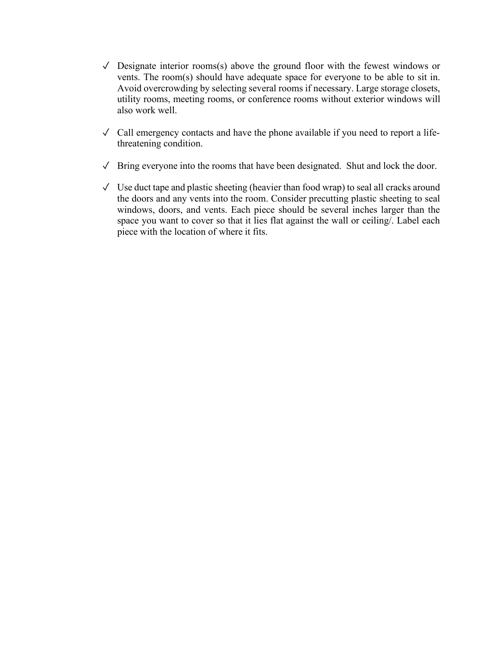- $\sqrt{\phantom{a}}$  Designate interior rooms(s) above the ground floor with the fewest windows or vents. The room(s) should have adequate space for everyone to be able to sit in. Avoid overcrowding by selecting several rooms if necessary. Large storage closets, utility rooms, meeting rooms, or conference rooms without exterior windows will also work well.
- $\sqrt{\phantom{a}}$  Call emergency contacts and have the phone available if you need to report a lifethreatening condition.
- $\sqrt{\phantom{a}}$  Bring everyone into the rooms that have been designated. Shut and lock the door.
- $\sqrt{\phantom{a}}$  Use duct tape and plastic sheeting (heavier than food wrap) to seal all cracks around the doors and any vents into the room. Consider precutting plastic sheeting to seal windows, doors, and vents. Each piece should be several inches larger than the space you want to cover so that it lies flat against the wall or ceiling/. Label each piece with the location of where it fits.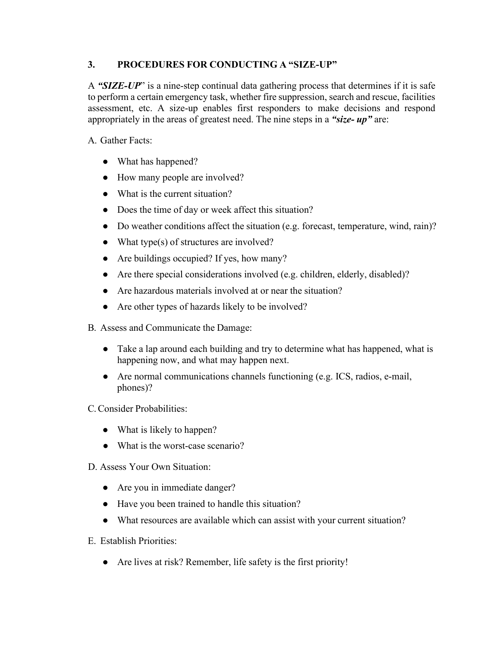### **3. PROCEDURES FOR CONDUCTING A "SIZE-UP"**

A *"SIZE-UP*" is a nine-step continual data gathering process that determines if it is safe to perform a certain emergency task, whether fire suppression, search and rescue, facilities assessment, etc. A size-up enables first responders to make decisions and respond appropriately in the areas of greatest need. The nine steps in a *"size- up"* are:

A. Gather Facts:

- What has happened?
- How many people are involved?
- What is the current situation?
- Does the time of day or week affect this situation?
- Do weather conditions affect the situation (e.g. forecast, temperature, wind, rain)?
- What type(s) of structures are involved?
- Are buildings occupied? If yes, how many?
- Are there special considerations involved (e.g. children, elderly, disabled)?
- Are hazardous materials involved at or near the situation?
- Are other types of hazards likely to be involved?
- B. Assess and Communicate the Damage:
	- Take a lap around each building and try to determine what has happened, what is happening now, and what may happen next.
	- Are normal communications channels functioning (e.g. ICS, radios, e-mail, phones)?

C.Consider Probabilities:

- What is likely to happen?
- What is the worst-case scenario?
- D. Assess Your Own Situation:
	- Are you in immediate danger?
	- Have you been trained to handle this situation?
	- What resources are available which can assist with your current situation?
- E. Establish Priorities:
	- Are lives at risk? Remember, life safety is the first priority!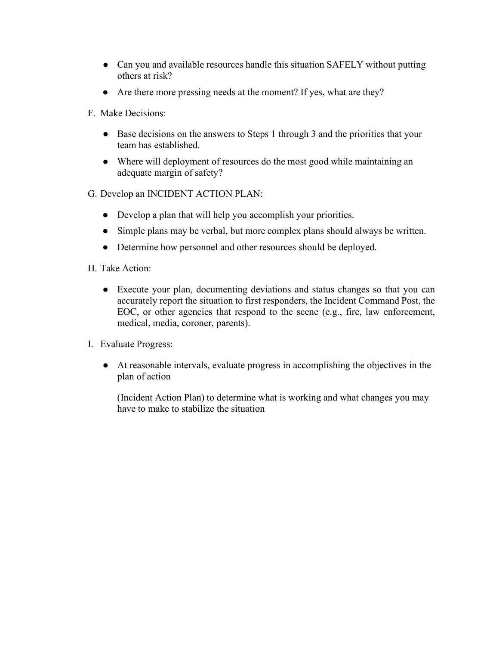- Can you and available resources handle this situation SAFELY without putting others at risk?
- Are there more pressing needs at the moment? If yes, what are they?
- F. Make Decisions:
	- Base decisions on the answers to Steps 1 through 3 and the priorities that your team has established.
	- Where will deployment of resources do the most good while maintaining an adequate margin of safety?
- G. Develop an INCIDENT ACTION PLAN:
	- Develop a plan that will help you accomplish your priorities.
	- Simple plans may be verbal, but more complex plans should always be written.
	- Determine how personnel and other resources should be deployed.
- H. Take Action:
	- Execute your plan, documenting deviations and status changes so that you can accurately report the situation to first responders, the Incident Command Post, the EOC, or other agencies that respond to the scene (e.g., fire, law enforcement, medical, media, coroner, parents).
- I. Evaluate Progress:
	- At reasonable intervals, evaluate progress in accomplishing the objectives in the plan of action

(Incident Action Plan) to determine what is working and what changes you may have to make to stabilize the situation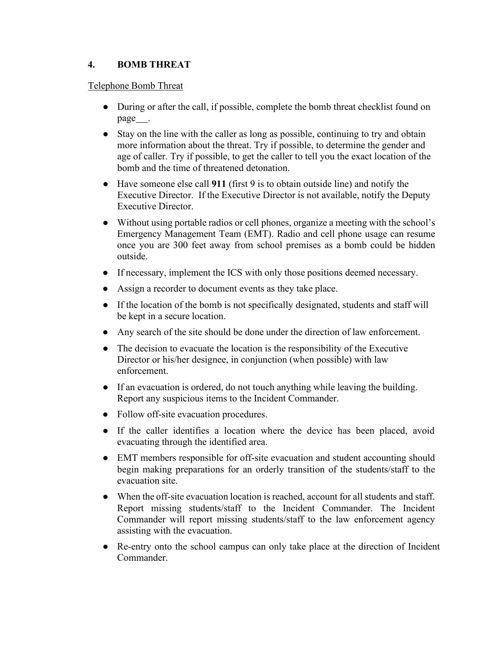# **4. BOMB THREAT**

### Telephone Bomb Threat

- During or after the call, if possible, complete the bomb threat checklist found on page\_\_\_\_.
- Stay on the line with the caller as long as possible, continuing to try and obtain more information about the threat. Try if possible, to determine the gender and age of caller. Try if possible, to get the caller to tell you the exact location of the bomb and the time of threatened detonation.
- Have someone else call **911** (first 9 is to obtain outside line) and notify the Executive Director. If the Executive Director is not available, notify the Deputy Executive Director.
- Without using portable radios or cell phones, organize a meeting with the school's Emergency Management Team (EMT). Radio and cell phone usage can resume once you are 300 feet away from school premises as a bomb could be hidden outside.
- If necessary, implement the ICS with only those positions deemed necessary.
- Assign a recorder to document events as they take place.
- If the location of the bomb is not specifically designated, students and staff will be kept in a secure location.
- Any search of the site should be done under the direction of law enforcement.
- The decision to evacuate the location is the responsibility of the Executive Director or his/her designee, in conjunction (when possible) with law enforcement.
- If an evacuation is ordered, do not touch anything while leaving the building. Report any suspicious items to the Incident Commander.
- Follow off-site evacuation procedures.
- If the caller identifies a location where the device has been placed, avoid evacuating through the identified area.
- EMT members responsible for off-site evacuation and student accounting should begin making preparations for an orderly transition of the students/staff to the evacuation site.
- When the off-site evacuation location is reached, account for all students and staff. Report missing students/staff to the Incident Commander. The Incident Commander will report missing students/staff to the law enforcement agency assisting with the evacuation.
- Re-entry onto the school campus can only take place at the direction of Incident Commander.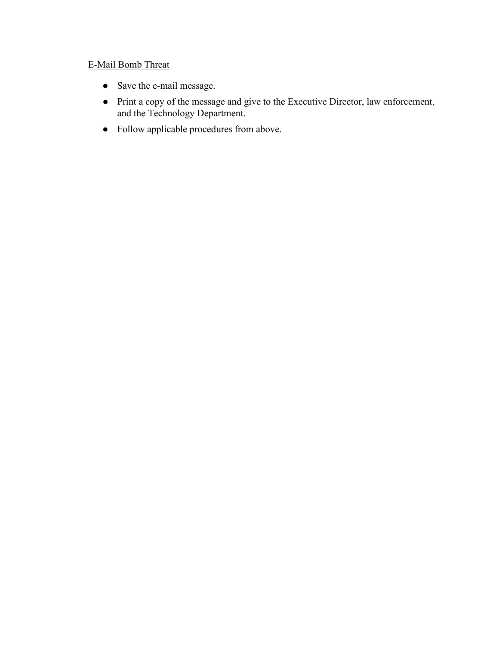# E-Mail Bomb Threat

- Save the e-mail message.
- Print a copy of the message and give to the Executive Director, law enforcement, and the Technology Department.
- Follow applicable procedures from above.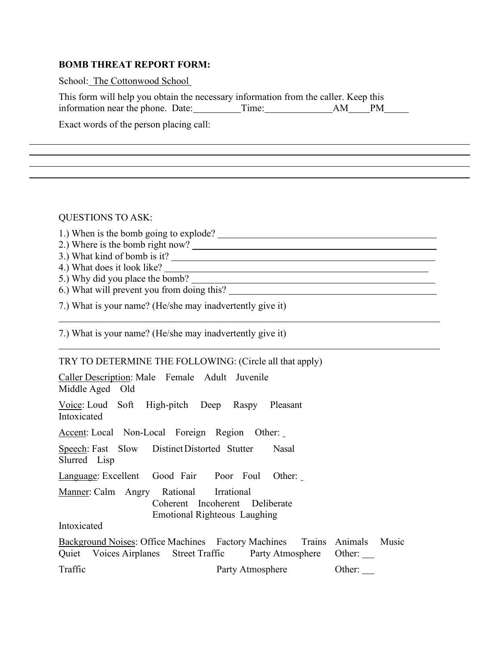#### **BOMB THREAT REPORT FORM:**

School: The Cottonwood School

| This form will help you obtain the necessary information from the caller. Keep this |       |       |  |
|-------------------------------------------------------------------------------------|-------|-------|--|
| information near the phone. Date:                                                   | Time: | AM PM |  |

<u> 1989 - Johann Barn, fransk politik (f. 1989)</u>

Exact words of the person placing call:

QUESTIONS TO ASK:

1.) When is the bomb going to explode?

2.) Where is the bomb right now?

3.) What kind of bomb is it?

4.) What does it look like?

5.) Why did you place the bomb?

6.) What will prevent you from doing this?

7.) What is your name? (He/she may inadvertently give it)

7.) What is your name? (He/she may inadvertently give it)

#### TRY TO DETERMINE THE FOLLOWING: (Circle all that apply)

| Caller Description: Male Female Adult Juvenile<br>Middle Aged Old                                               |                                                                          |
|-----------------------------------------------------------------------------------------------------------------|--------------------------------------------------------------------------|
| Voice: Loud Soft High-pitch Deep Raspy Pleasant<br>Intoxicated                                                  |                                                                          |
| Accent: Local Non-Local Foreign Region Other:                                                                   |                                                                          |
| Speech: Fast Slow Distinct Distorted Stutter<br>Slurred Lisp                                                    | Nasal                                                                    |
| Language: Excellent Good Fair Poor Foul Other:                                                                  |                                                                          |
| Manner: Calm Angry Rational Irrational<br>Coherent Incoherent Deliberate<br><b>Emotional Righteous Laughing</b> |                                                                          |
| Intoxicated                                                                                                     |                                                                          |
| Quiet Voices Airplanes Street Traffic Party Atmosphere Other:                                                   | Background Noises: Office Machines Factory Machines Trains Animals Music |
| Traffic                                                                                                         | Other:<br>Party Atmosphere                                               |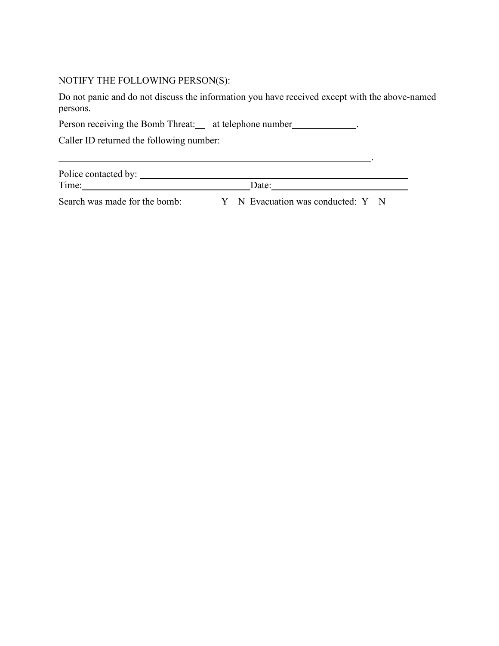# NOTIFY THE FOLLOWING PERSON(S):

Do not panic and do not discuss the information you have received except with the above-named persons.

Person receiving the Bomb Threat: \_\_\_ at telephone number .......................

Caller ID returned the following number:

| Police contacted by: |       |  |
|----------------------|-------|--|
| Time:                | )ate: |  |

Search was made for the bomb: Y N Evacuation was conducted: Y N

.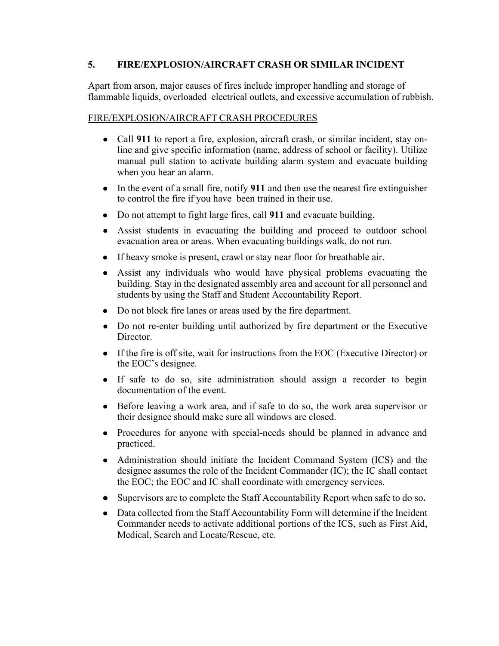### **5. FIRE/EXPLOSION/AIRCRAFT CRASH OR SIMILAR INCIDENT**

Apart from arson, major causes of fires include improper handling and storage of flammable liquids, overloaded electrical outlets, and excessive accumulation of rubbish.

#### FIRE/EXPLOSION/AIRCRAFT CRASH PROCEDURES

- Call **911** to report a fire, explosion, aircraft crash, or similar incident, stay online and give specific information (name, address of school or facility). Utilize manual pull station to activate building alarm system and evacuate building when you hear an alarm.
- In the event of a small fire, notify **911** and then use the nearest fire extinguisher to control the fire if you have been trained in their use.
- Do not attempt to fight large fires, call **911** and evacuate building.
- Assist students in evacuating the building and proceed to outdoor school evacuation area or areas. When evacuating buildings walk, do not run.
- If heavy smoke is present, crawl or stay near floor for breathable air.
- Assist any individuals who would have physical problems evacuating the building. Stay in the designated assembly area and account for all personnel and students by using the Staff and Student Accountability Report.
- Do not block fire lanes or areas used by the fire department.
- Do not re-enter building until authorized by fire department or the Executive Director.
- If the fire is off site, wait for instructions from the EOC (Executive Director) or the EOC's designee.
- If safe to do so, site administration should assign a recorder to begin documentation of the event.
- Before leaving a work area, and if safe to do so, the work area supervisor or their designee should make sure all windows are closed.
- Procedures for anyone with special-needs should be planned in advance and practiced.
- Administration should initiate the Incident Command System (ICS) and the designee assumes the role of the Incident Commander (IC); the IC shall contact the EOC; the EOC and IC shall coordinate with emergency services.
- Supervisors are to complete the Staff Accountability Report when safe to do so**.**
- Data collected from the Staff Accountability Form will determine if the Incident Commander needs to activate additional portions of the ICS, such as First Aid, Medical, Search and Locate/Rescue, etc.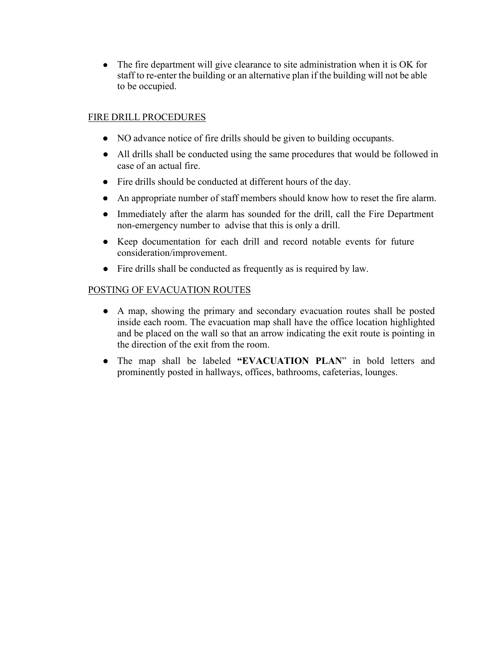• The fire department will give clearance to site administration when it is OK for staff to re-enter the building or an alternative plan if the building will not be able to be occupied.

# FIRE DRILL PROCEDURES

- NO advance notice of fire drills should be given to building occupants.
- All drills shall be conducted using the same procedures that would be followed in case of an actual fire.
- Fire drills should be conducted at different hours of the day.
- An appropriate number of staff members should know how to reset the fire alarm.
- Immediately after the alarm has sounded for the drill, call the Fire Department non-emergency number to advise that this is only a drill.
- Keep documentation for each drill and record notable events for future consideration/improvement.
- Fire drills shall be conducted as frequently as is required by law.

### POSTING OF EVACUATION ROUTES

- A map, showing the primary and secondary evacuation routes shall be posted inside each room. The evacuation map shall have the office location highlighted and be placed on the wall so that an arrow indicating the exit route is pointing in the direction of the exit from the room.
- The map shall be labeled **"EVACUATION PLAN**" in bold letters and prominently posted in hallways, offices, bathrooms, cafeterias, lounges.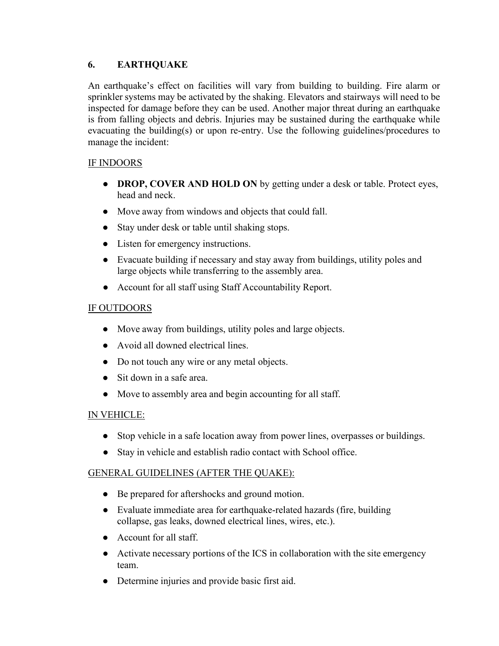### **6. EARTHQUAKE**

An earthquake's effect on facilities will vary from building to building. Fire alarm or sprinkler systems may be activated by the shaking. Elevators and stairways will need to be inspected for damage before they can be used. Another major threat during an earthquake is from falling objects and debris. Injuries may be sustained during the earthquake while evacuating the building(s) or upon re-entry. Use the following guidelines/procedures to manage the incident:

# IF INDOORS

- **DROP, COVER AND HOLD ON** by getting under a desk or table. Protect eyes, head and neck.
- Move away from windows and objects that could fall.
- Stay under desk or table until shaking stops.
- Listen for emergency instructions.
- Evacuate building if necessary and stay away from buildings, utility poles and large objects while transferring to the assembly area.
- Account for all staff using Staff Accountability Report.

# IF OUTDOORS

- Move away from buildings, utility poles and large objects.
- Avoid all downed electrical lines.
- Do not touch any wire or any metal objects.
- Sit down in a safe area.
- Move to assembly area and begin accounting for all staff.

### IN VEHICLE:

- Stop vehicle in a safe location away from power lines, overpasses or buildings.
- Stay in vehicle and establish radio contact with School office.

### GENERAL GUIDELINES (AFTER THE QUAKE):

- Be prepared for aftershocks and ground motion.
- Evaluate immediate area for earthquake-related hazards (fire, building collapse, gas leaks, downed electrical lines, wires, etc.).
- Account for all staff.
- Activate necessary portions of the ICS in collaboration with the site emergency team.
- Determine injuries and provide basic first aid.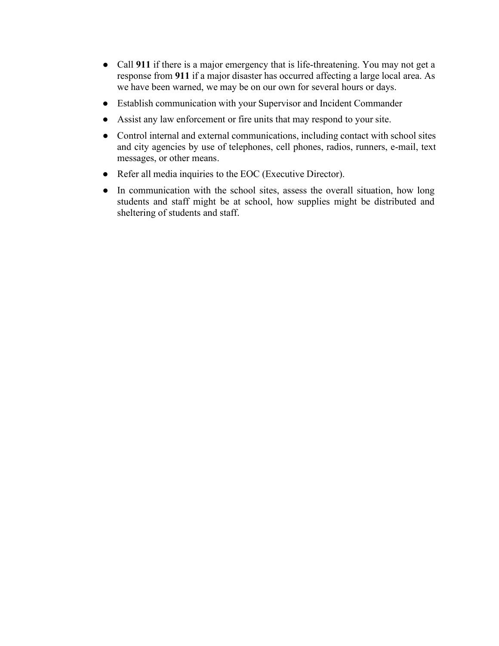- Call **911** if there is a major emergency that is life-threatening. You may not get a response from **911** if a major disaster has occurred affecting a large local area. As we have been warned, we may be on our own for several hours or days.
- Establish communication with your Supervisor and Incident Commander
- Assist any law enforcement or fire units that may respond to your site.
- Control internal and external communications, including contact with school sites and city agencies by use of telephones, cell phones, radios, runners, e-mail, text messages, or other means.
- Refer all media inquiries to the EOC (Executive Director).
- In communication with the school sites, assess the overall situation, how long students and staff might be at school, how supplies might be distributed and sheltering of students and staff.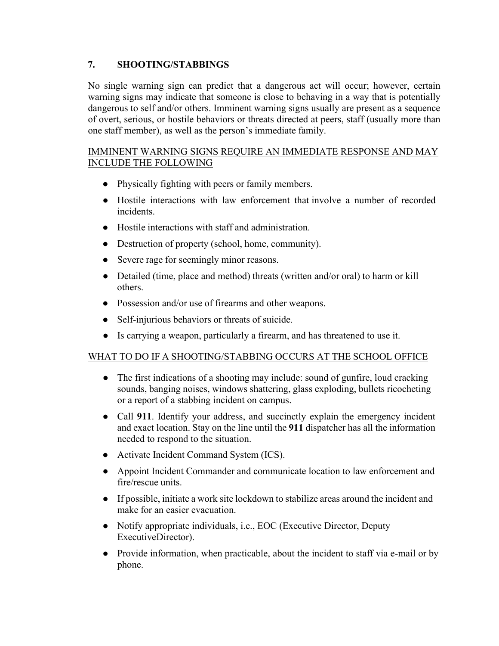# **7. SHOOTING/STABBINGS**

No single warning sign can predict that a dangerous act will occur; however, certain warning signs may indicate that someone is close to behaving in a way that is potentially dangerous to self and/or others. Imminent warning signs usually are present as a sequence of overt, serious, or hostile behaviors or threats directed at peers, staff (usually more than one staff member), as well as the person's immediate family.

### IMMINENT WARNING SIGNS REQUIRE AN IMMEDIATE RESPONSE AND MAY INCLUDE THE FOLLOWING

- Physically fighting with peers or family members.
- Hostile interactions with law enforcement that involve a number of recorded incidents.
- Hostile interactions with staff and administration.
- Destruction of property (school, home, community).
- Severe rage for seemingly minor reasons.
- Detailed (time, place and method) threats (written and/or oral) to harm or kill others.
- Possession and/or use of firearms and other weapons.
- Self-injurious behaviors or threats of suicide.
- Is carrying a weapon, particularly a firearm, and has threatened to use it.

# WHAT TO DO IF A SHOOTING/STABBING OCCURS AT THE SCHOOL OFFICE

- The first indications of a shooting may include: sound of gunfire, loud cracking sounds, banging noises, windows shattering, glass exploding, bullets ricocheting or a report of a stabbing incident on campus.
- Call **911**. Identify your address, and succinctly explain the emergency incident and exact location. Stay on the line until the **911** dispatcher has all the information needed to respond to the situation.
- Activate Incident Command System (ICS).
- Appoint Incident Commander and communicate location to law enforcement and fire/rescue units.
- If possible, initiate a work site lockdown to stabilize areas around the incident and make for an easier evacuation.
- Notify appropriate individuals, i.e., EOC (Executive Director, Deputy ExecutiveDirector).
- Provide information, when practicable, about the incident to staff via e-mail or by phone.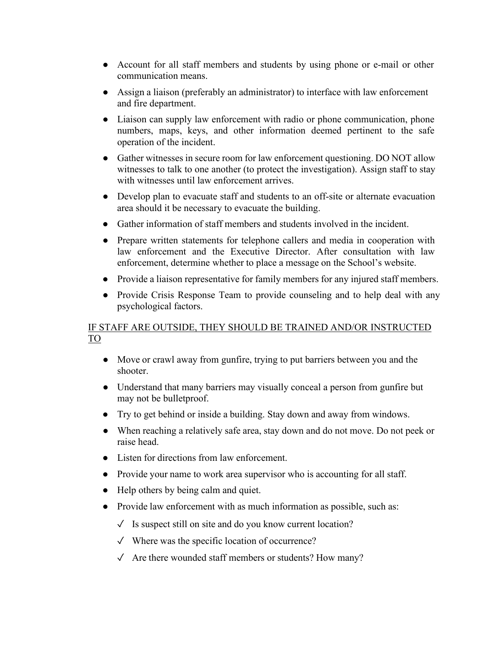- Account for all staff members and students by using phone or e-mail or other communication means.
- Assign a liaison (preferably an administrator) to interface with law enforcement and fire department.
- Liaison can supply law enforcement with radio or phone communication, phone numbers, maps, keys, and other information deemed pertinent to the safe operation of the incident.
- Gather witnesses in secure room for law enforcement questioning. DO NOT allow witnesses to talk to one another (to protect the investigation). Assign staff to stay with witnesses until law enforcement arrives.
- Develop plan to evacuate staff and students to an off-site or alternate evacuation area should it be necessary to evacuate the building.
- Gather information of staff members and students involved in the incident.
- Prepare written statements for telephone callers and media in cooperation with law enforcement and the Executive Director. After consultation with law enforcement, determine whether to place a message on the School's website.
- Provide a liaison representative for family members for any injured staff members.
- Provide Crisis Response Team to provide counseling and to help deal with any psychological factors.

### IF STAFF ARE OUTSIDE, THEY SHOULD BE TRAINED AND/OR INSTRUCTED TO

- Move or crawl away from gunfire, trying to put barriers between you and the shooter.
- Understand that many barriers may visually conceal a person from gunfire but may not be bulletproof.
- Try to get behind or inside a building. Stay down and away from windows.
- When reaching a relatively safe area, stay down and do not move. Do not peek or raise head.
- Listen for directions from law enforcement.
- Provide your name to work area supervisor who is accounting for all staff.
- Help others by being calm and quiet.
- Provide law enforcement with as much information as possible, such as:
	- $\sqrt{\phantom{a}}$  Is suspect still on site and do you know current location?
	- ✓ Where was the specific location of occurrence?
	- $\sqrt{\phantom{a}}$  Are there wounded staff members or students? How many?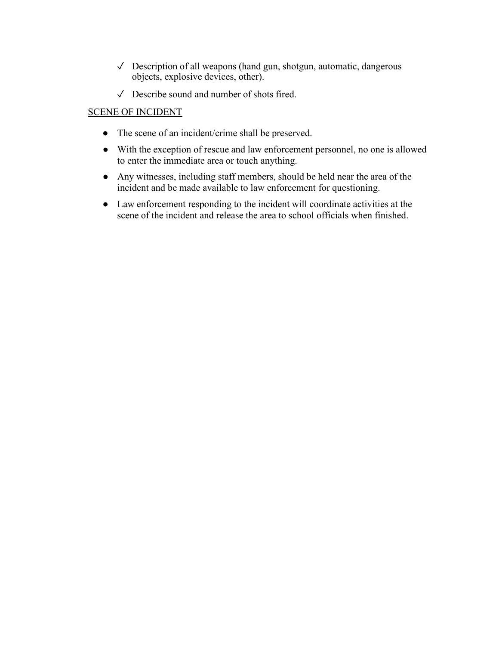- ✓ Description of all weapons (hand gun, shotgun, automatic, dangerous objects, explosive devices, other).
- ✓ Describe sound and number of shots fired.

### SCENE OF INCIDENT

- The scene of an incident/crime shall be preserved.
- With the exception of rescue and law enforcement personnel, no one is allowed to enter the immediate area or touch anything.
- Any witnesses, including staff members, should be held near the area of the incident and be made available to law enforcement for questioning.
- Law enforcement responding to the incident will coordinate activities at the scene of the incident and release the area to school officials when finished.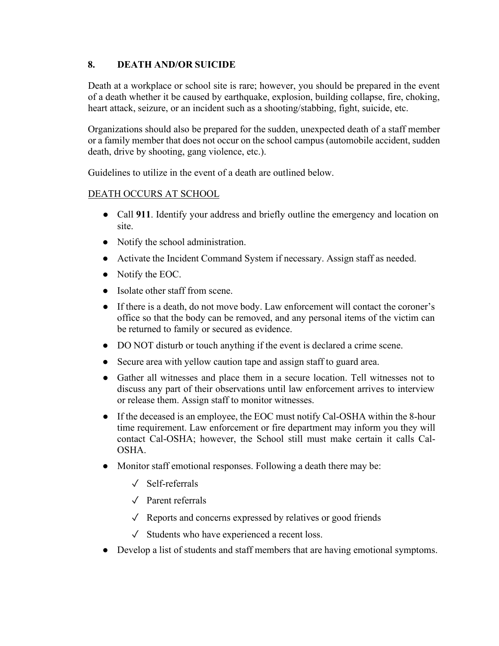# **8. DEATH AND/OR SUICIDE**

Death at a workplace or school site is rare; however, you should be prepared in the event of a death whether it be caused by earthquake, explosion, building collapse, fire, choking, heart attack, seizure, or an incident such as a shooting/stabbing, fight, suicide, etc.

Organizations should also be prepared for the sudden, unexpected death of a staff member or a family member that does not occur on the school campus (automobile accident, sudden death, drive by shooting, gang violence, etc.).

Guidelines to utilize in the event of a death are outlined below.

# DEATH OCCURS AT SCHOOL

- Call **911**. Identify your address and briefly outline the emergency and location on site.
- Notify the school administration.
- Activate the Incident Command System if necessary. Assign staff as needed.
- Notify the EOC.
- Isolate other staff from scene.
- If there is a death, do not move body. Law enforcement will contact the coroner's office so that the body can be removed, and any personal items of the victim can be returned to family or secured as evidence.
- DO NOT disturb or touch anything if the event is declared a crime scene.
- Secure area with yellow caution tape and assign staff to guard area.
- Gather all witnesses and place them in a secure location. Tell witnesses not to discuss any part of their observations until law enforcement arrives to interview or release them. Assign staff to monitor witnesses.
- If the deceased is an employee, the EOC must notify Cal-OSHA within the 8-hour time requirement. Law enforcement or fire department may inform you they will contact Cal-OSHA; however, the School still must make certain it calls Cal-OSHA.
- Monitor staff emotional responses. Following a death there may be:
	- ✓ Self-referrals
	- ✓ Parent referrals
	- $\sqrt{\phantom{a}}$  Reports and concerns expressed by relatives or good friends
	- $\checkmark$  Students who have experienced a recent loss.
- Develop a list of students and staff members that are having emotional symptoms.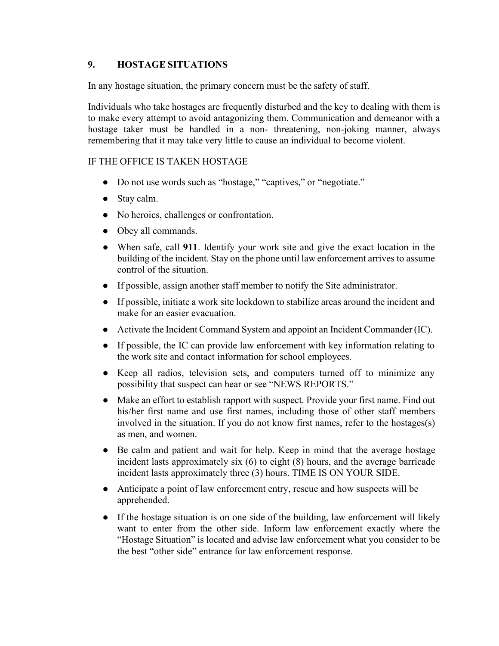### **9. HOSTAGE SITUATIONS**

In any hostage situation, the primary concern must be the safety of staff.

Individuals who take hostages are frequently disturbed and the key to dealing with them is to make every attempt to avoid antagonizing them. Communication and demeanor with a hostage taker must be handled in a non- threatening, non-joking manner, always remembering that it may take very little to cause an individual to become violent.

### IF THE OFFICE IS TAKEN HOSTAGE

- Do not use words such as "hostage," "captives," or "negotiate."
- Stay calm.
- No heroics, challenges or confrontation.
- Obey all commands.
- When safe, call **911**. Identify your work site and give the exact location in the building of the incident. Stay on the phone until law enforcement arrives to assume control of the situation.
- If possible, assign another staff member to notify the Site administrator.
- If possible, initiate a work site lockdown to stabilize areas around the incident and make for an easier evacuation.
- Activate the Incident Command System and appoint an Incident Commander (IC).
- If possible, the IC can provide law enforcement with key information relating to the work site and contact information for school employees.
- Keep all radios, television sets, and computers turned off to minimize any possibility that suspect can hear or see "NEWS REPORTS."
- Make an effort to establish rapport with suspect. Provide your first name. Find out his/her first name and use first names, including those of other staff members involved in the situation. If you do not know first names, refer to the hostages(s) as men, and women.
- Be calm and patient and wait for help. Keep in mind that the average hostage incident lasts approximately six (6) to eight (8) hours, and the average barricade incident lasts approximately three (3) hours. TIME IS ON YOUR SIDE.
- Anticipate a point of law enforcement entry, rescue and how suspects will be apprehended.
- If the hostage situation is on one side of the building, law enforcement will likely want to enter from the other side. Inform law enforcement exactly where the "Hostage Situation" is located and advise law enforcement what you consider to be the best "other side" entrance for law enforcement response.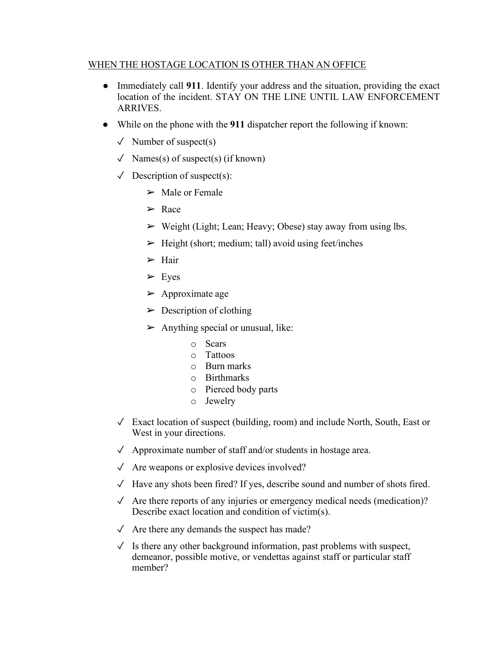### WHEN THE HOSTAGE LOCATION IS OTHER THAN AN OFFICE

- Immediately call **911**. Identify your address and the situation, providing the exact location of the incident. STAY ON THE LINE UNTIL LAW ENFORCEMENT ARRIVES.
- While on the phone with the **911** dispatcher report the following if known:
	- $\sqrt{\phantom{a}}$  Number of suspect(s)
	- $\checkmark$  Names(s) of suspect(s) (if known)
	- $\checkmark$  Description of suspect(s):
		- $\triangleright$  Male or Female
		- ➢ Race
		- $\triangleright$  Weight (Light; Lean; Heavy; Obese) stay away from using lbs.
		- $\triangleright$  Height (short; medium; tall) avoid using feet/inches
		- $\triangleright$  Hair
		- $\triangleright$  Eyes
		- $\triangleright$  Approximate age
		- $\triangleright$  Description of clothing
		- $\triangleright$  Anything special or unusual, like:
			- o Scars
			- o Tattoos
			- o Burn marks
			- o Birthmarks
			- o Pierced body parts
			- o Jewelry
	- $\sqrt{\phantom{a}}$  Exact location of suspect (building, room) and include North, South, East or West in your directions.
	- $\sqrt{\phantom{a}}$  Approximate number of staff and/or students in hostage area.
	- $\sqrt{\ }$  Are weapons or explosive devices involved?
	- ✓ Have any shots been fired? If yes, describe sound and number of shots fired.
	- $\checkmark$  Are there reports of any injuries or emergency medical needs (medication)? Describe exact location and condition of victim(s).
	- $\sqrt{\phantom{a}}$  Are there any demands the suspect has made?
	- $\checkmark$  Is there any other background information, past problems with suspect, demeanor, possible motive, or vendettas against staff or particular staff member?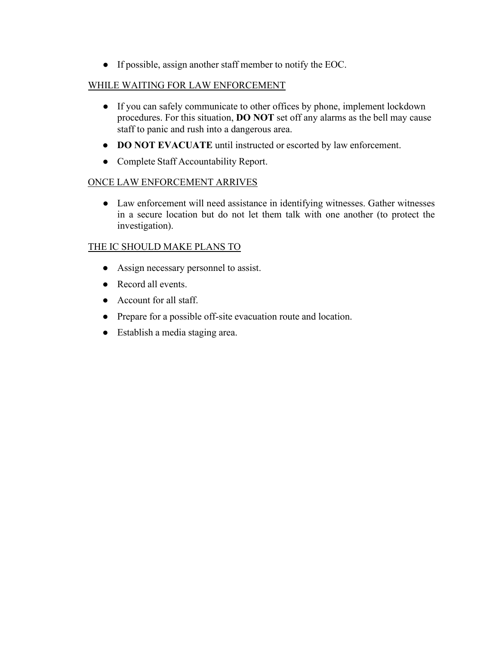● If possible, assign another staff member to notify the EOC.

# WHILE WAITING FOR LAW ENFORCEMENT

- If you can safely communicate to other offices by phone, implement lockdown procedures. For this situation, **DO NOT** set off any alarms as the bell may cause staff to panic and rush into a dangerous area.
- **DO NOT EVACUATE** until instructed or escorted by law enforcement.
- Complete Staff Accountability Report.

# ONCE LAW ENFORCEMENT ARRIVES

● Law enforcement will need assistance in identifying witnesses. Gather witnesses in a secure location but do not let them talk with one another (to protect the investigation).

# THE IC SHOULD MAKE PLANS TO

- Assign necessary personnel to assist.
- Record all events.
- Account for all staff.
- Prepare for a possible off-site evacuation route and location.
- Establish a media staging area.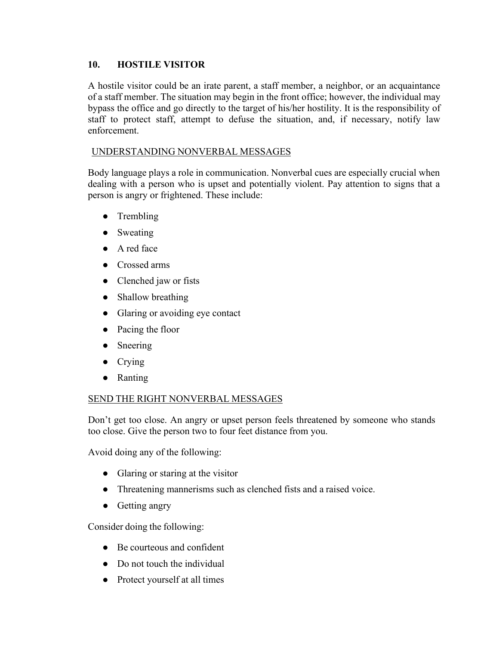### **10. HOSTILE VISITOR**

A hostile visitor could be an irate parent, a staff member, a neighbor, or an acquaintance of a staff member. The situation may begin in the front office; however, the individual may bypass the office and go directly to the target of his/her hostility. It is the responsibility of staff to protect staff, attempt to defuse the situation, and, if necessary, notify law enforcement.

### UNDERSTANDING NONVERBAL MESSAGES

Body language plays a role in communication. Nonverbal cues are especially crucial when dealing with a person who is upset and potentially violent. Pay attention to signs that a person is angry or frightened. These include:

- Trembling
- Sweating
- A red face
- Crossed arms
- Clenched jaw or fists
- Shallow breathing
- Glaring or avoiding eye contact
- Pacing the floor
- Sneering
- Crying
- Ranting

### SEND THE RIGHT NONVERBAL MESSAGES

Don't get too close. An angry or upset person feels threatened by someone who stands too close. Give the person two to four feet distance from you.

Avoid doing any of the following:

- Glaring or staring at the visitor
- Threatening mannerisms such as clenched fists and a raised voice.
- Getting angry

Consider doing the following:

- Be courteous and confident
- Do not touch the individual
- Protect yourself at all times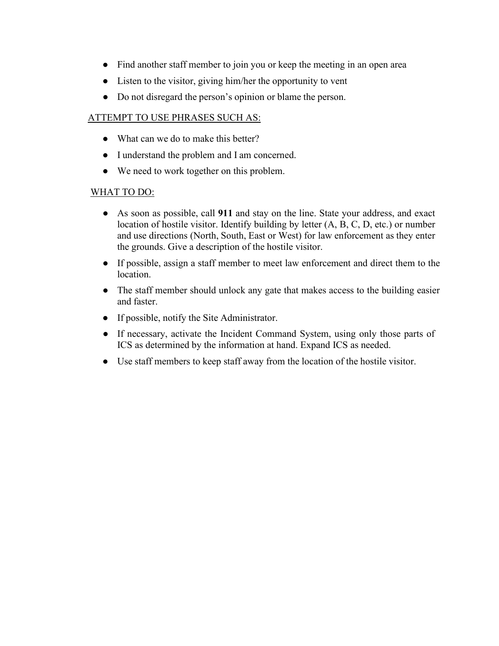- Find another staff member to join you or keep the meeting in an open area
- Listen to the visitor, giving him/her the opportunity to vent
- Do not disregard the person's opinion or blame the person.

### ATTEMPT TO USE PHRASES SUCH AS:

- What can we do to make this better?
- I understand the problem and I am concerned.
- We need to work together on this problem.

### WHAT TO DO:

- As soon as possible, call **911** and stay on the line. State your address, and exact location of hostile visitor. Identify building by letter (A, B, C, D, etc.) or number and use directions (North, South, East or West) for law enforcement as they enter the grounds. Give a description of the hostile visitor.
- If possible, assign a staff member to meet law enforcement and direct them to the location.
- The staff member should unlock any gate that makes access to the building easier and faster.
- If possible, notify the Site Administrator.
- If necessary, activate the Incident Command System, using only those parts of ICS as determined by the information at hand. Expand ICS as needed.
- Use staff members to keep staff away from the location of the hostile visitor.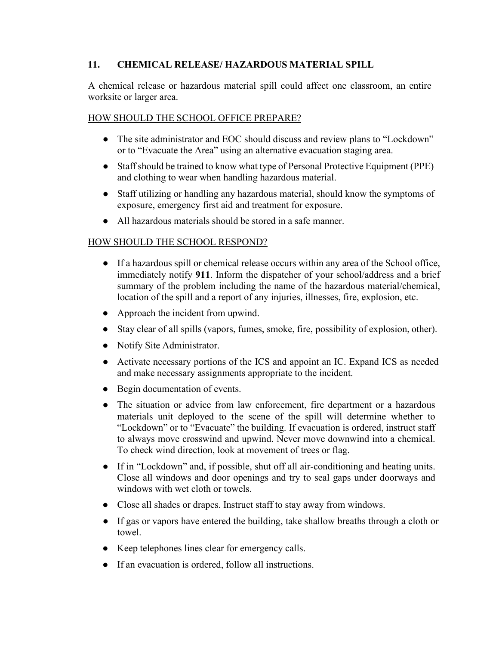### **11. CHEMICAL RELEASE/ HAZARDOUS MATERIAL SPILL**

A chemical release or hazardous material spill could affect one classroom, an entire worksite or larger area.

#### HOW SHOULD THE SCHOOL OFFICE PREPARE?

- The site administrator and EOC should discuss and review plans to "Lockdown" or to "Evacuate the Area" using an alternative evacuation staging area.
- Staffshould be trained to know what type of Personal Protective Equipment (PPE) and clothing to wear when handling hazardous material.
- Staff utilizing or handling any hazardous material, should know the symptoms of exposure, emergency first aid and treatment for exposure.
- All hazardous materials should be stored in a safe manner.

### HOW SHOULD THE SCHOOL RESPOND?

- If a hazardous spill or chemical release occurs within any area of the School office, immediately notify **911**. Inform the dispatcher of your school/address and a brief summary of the problem including the name of the hazardous material/chemical, location of the spill and a report of any injuries, illnesses, fire, explosion, etc.
- Approach the incident from upwind.
- Stay clear of all spills (vapors, fumes, smoke, fire, possibility of explosion, other).
- Notify Site Administrator.
- Activate necessary portions of the ICS and appoint an IC. Expand ICS as needed and make necessary assignments appropriate to the incident.
- Begin documentation of events.
- The situation or advice from law enforcement, fire department or a hazardous materials unit deployed to the scene of the spill will determine whether to "Lockdown" or to "Evacuate" the building. If evacuation is ordered, instruct staff to always move crosswind and upwind. Never move downwind into a chemical. To check wind direction, look at movement of trees or flag.
- If in "Lockdown" and, if possible, shut off all air-conditioning and heating units. Close all windows and door openings and try to seal gaps under doorways and windows with wet cloth or towels.
- Close all shades or drapes. Instruct staff to stay away from windows.
- If gas or vapors have entered the building, take shallow breaths through a cloth or towel.
- Keep telephones lines clear for emergency calls.
- If an evacuation is ordered, follow all instructions.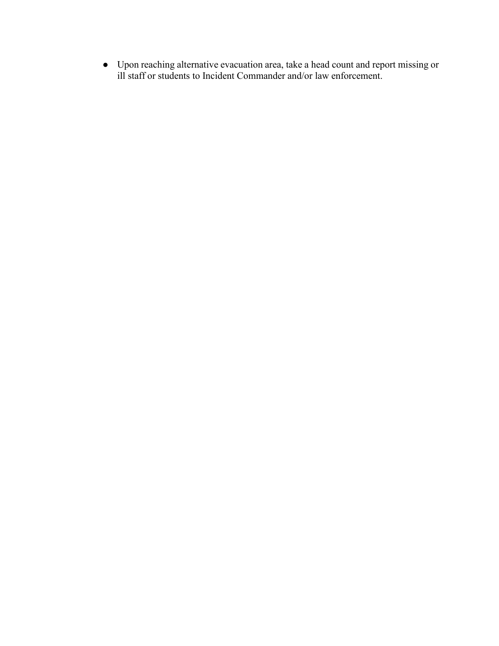● Upon reaching alternative evacuation area, take a head count and report missing or ill staff or students to Incident Commander and/or law enforcement.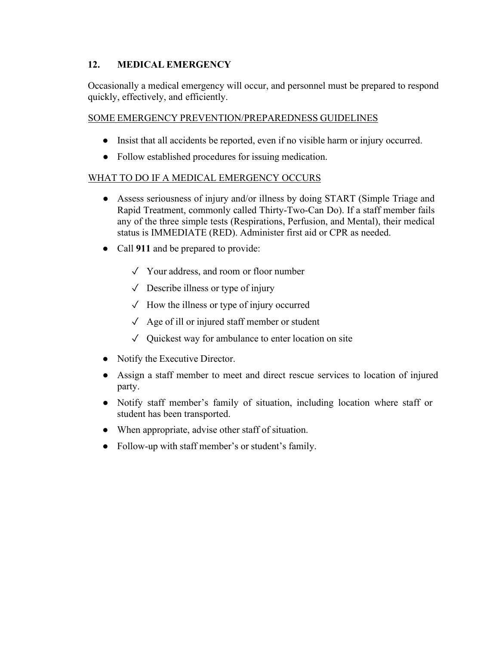# **12. MEDICAL EMERGENCY**

Occasionally a medical emergency will occur, and personnel must be prepared to respond quickly, effectively, and efficiently.

### SOME EMERGENCY PREVENTION/PREPAREDNESS GUIDELINES

- Insist that all accidents be reported, even if no visible harm or injury occurred.
- Follow established procedures for issuing medication.

### WHAT TO DO IF A MEDICAL EMERGENCY OCCURS

- Assess seriousness of injury and/or illness by doing START (Simple Triage and Rapid Treatment, commonly called Thirty-Two-Can Do). If a staff member fails any of the three simple tests (Respirations, Perfusion, and Mental), their medical status is IMMEDIATE (RED). Administer first aid or CPR as needed.
- Call **911** and be prepared to provide:
	- ✓ Your address, and room or floor number
	- $\sqrt{\phantom{a}}$  Describe illness or type of injury
	- ✓ How the illness or type of injury occurred
	- ✓ Age of ill or injured staff member or student
	- $\sqrt{\phantom{a}}$  Quickest way for ambulance to enter location on site
- Notify the Executive Director.
- Assign a staff member to meet and direct rescue services to location of injured party.
- Notify staff member's family of situation, including location where staff or student has been transported.
- When appropriate, advise other staff of situation.
- Follow-up with staff member's or student's family.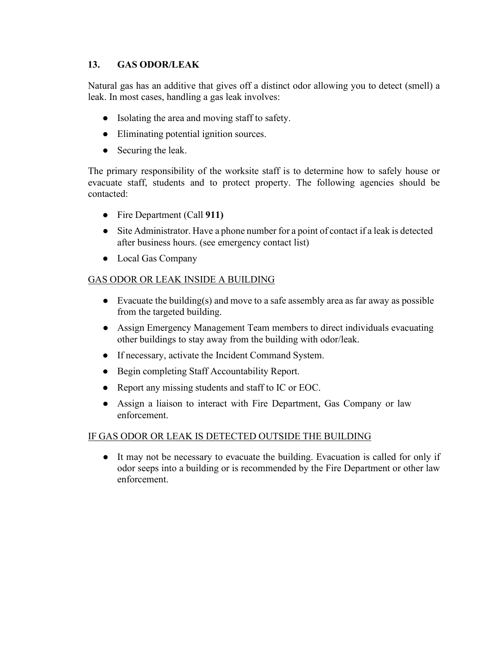# **13. GAS ODOR/LEAK**

Natural gas has an additive that gives off a distinct odor allowing you to detect (smell) a leak. In most cases, handling a gas leak involves:

- Isolating the area and moving staff to safety.
- Eliminating potential ignition sources.
- Securing the leak.

The primary responsibility of the worksite staff is to determine how to safely house or evacuate staff, students and to protect property. The following agencies should be contacted:

- Fire Department (Call **911)**
- Site Administrator. Have a phone number for a point of contact if a leak is detected after business hours. (see emergency contact list)
- Local Gas Company

### GAS ODOR OR LEAK INSIDE A BUILDING

- Evacuate the building(s) and move to a safe assembly area as far away as possible from the targeted building.
- Assign Emergency Management Team members to direct individuals evacuating other buildings to stay away from the building with odor/leak.
- If necessary, activate the Incident Command System.
- Begin completing Staff Accountability Report.
- Report any missing students and staff to IC or EOC.
- Assign a liaison to interact with Fire Department, Gas Company or law enforcement.

### IF GAS ODOR OR LEAK IS DETECTED OUTSIDE THE BUILDING

● It may not be necessary to evacuate the building. Evacuation is called for only if odor seeps into a building or is recommended by the Fire Department or other law enforcement.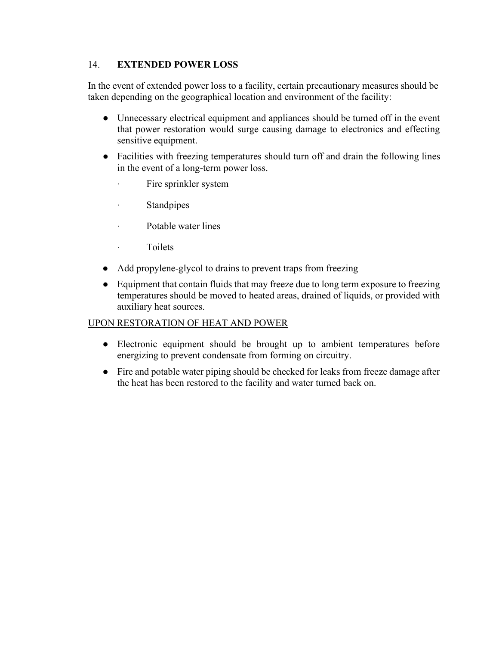# 14. **EXTENDED POWER LOSS**

In the event of extended power loss to a facility, certain precautionary measures should be taken depending on the geographical location and environment of the facility:

- Unnecessary electrical equipment and appliances should be turned off in the event that power restoration would surge causing damage to electronics and effecting sensitive equipment.
- Facilities with freezing temperatures should turn off and drain the following lines in the event of a long-term power loss.
	- Fire sprinkler system
	- · Standpipes
	- · Potable water lines
	- · Toilets
- Add propylene-glycol to drains to prevent traps from freezing
- Equipment that contain fluids that may freeze due to long term exposure to freezing temperatures should be moved to heated areas, drained of liquids, or provided with auxiliary heat sources.

# UPON RESTORATION OF HEAT AND POWER

- Electronic equipment should be brought up to ambient temperatures before energizing to prevent condensate from forming on circuitry.
- Fire and potable water piping should be checked for leaks from freeze damage after the heat has been restored to the facility and water turned back on.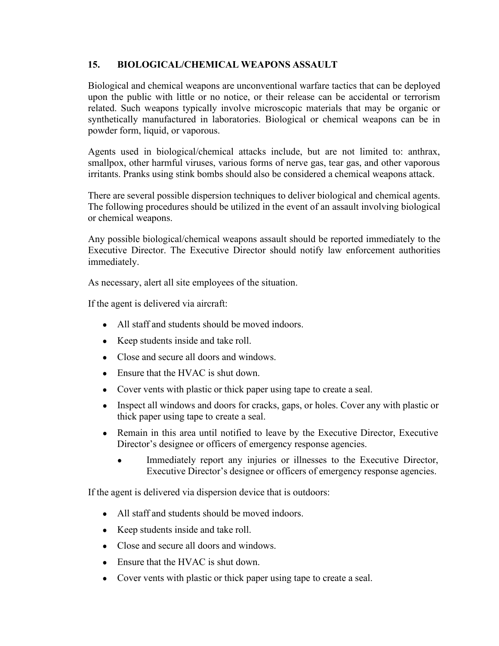# **15. BIOLOGICAL/CHEMICAL WEAPONS ASSAULT**

Biological and chemical weapons are unconventional warfare tactics that can be deployed upon the public with little or no notice, or their release can be accidental or terrorism related. Such weapons typically involve microscopic materials that may be organic or synthetically manufactured in laboratories. Biological or chemical weapons can be in powder form, liquid, or vaporous.

Agents used in biological/chemical attacks include, but are not limited to: anthrax, smallpox, other harmful viruses, various forms of nerve gas, tear gas, and other vaporous irritants. Pranks using stink bombs should also be considered a chemical weapons attack.

There are several possible dispersion techniques to deliver biological and chemical agents. The following procedures should be utilized in the event of an assault involving biological or chemical weapons.

Any possible biological/chemical weapons assault should be reported immediately to the Executive Director. The Executive Director should notify law enforcement authorities immediately.

As necessary, alert all site employees of the situation.

If the agent is delivered via aircraft:

- All staff and students should be moved indoors.
- Keep students inside and take roll.
- Close and secure all doors and windows.
- Ensure that the HVAC is shut down.
- Cover vents with plastic or thick paper using tape to create a seal.
- Inspect all windows and doors for cracks, gaps, or holes. Cover any with plastic or thick paper using tape to create a seal.
- Remain in this area until notified to leave by the Executive Director, Executive Director's designee or officers of emergency response agencies.
	- Immediately report any injuries or illnesses to the Executive Director, Executive Director's designee or officers of emergency response agencies.

If the agent is delivered via dispersion device that is outdoors:

- All staff and students should be moved indoors.
- Keep students inside and take roll.
- Close and secure all doors and windows.
- Ensure that the HVAC is shut down.
- Cover vents with plastic or thick paper using tape to create a seal.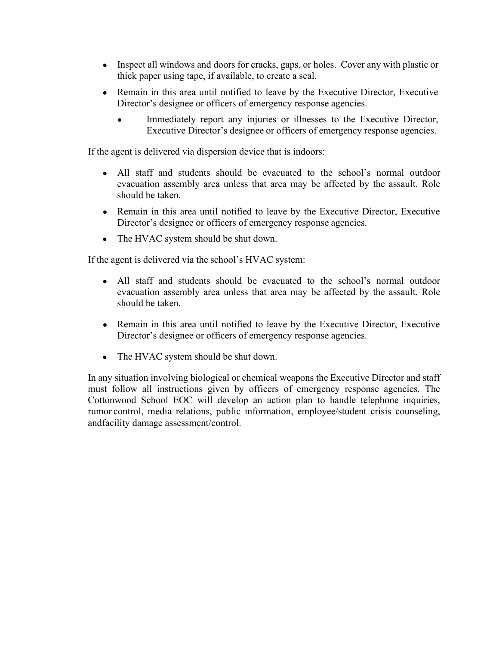- Inspect all windows and doors for cracks, gaps, or holes. Cover any with plastic or thick paper using tape, if available, to create a seal.
- Remain in this area until notified to leave by the Executive Director, Executive Director's designee or officers of emergency response agencies.
	- Immediately report any injuries or illnesses to the Executive Director, Executive Director's designee or officers of emergency response agencies.

If the agent is delivered via dispersion device that is indoors:

- All staff and students should be evacuated to the school's normal outdoor evacuation assembly area unless that area may be affected by the assault. Role should be taken.
- Remain in this area until notified to leave by the Executive Director, Executive Director's designee or officers of emergency response agencies.
- The HVAC system should be shut down.

If the agent is delivered via the school's HVAC system:

- All staff and students should be evacuated to the school's normal outdoor evacuation assembly area unless that area may be affected by the assault. Role should be taken.
- Remain in this area until notified to leave by the Executive Director, Executive Director's designee or officers of emergency response agencies.
- The HVAC system should be shut down.

In any situation involving biological or chemical weapons the Executive Director and staff must follow all instructions given by officers of emergency response agencies. The Cottonwood School EOC will develop an action plan to handle telephone inquiries, rumor control, media relations, public information, employee/student crisis counseling, andfacility damage assessment/control.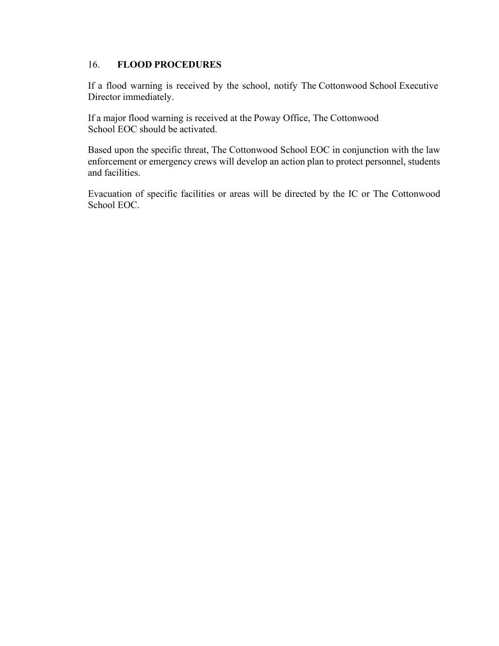### 16. **FLOOD PROCEDURES**

If a flood warning is received by the school, notify The Cottonwood School Executive Director immediately.

If a major flood warning is received at the Poway Office, The Cottonwood School EOC should be activated.

Based upon the specific threat, The Cottonwood School EOC in conjunction with the law enforcement or emergency crews will develop an action plan to protect personnel, students and facilities.

Evacuation of specific facilities or areas will be directed by the IC or The Cottonwood School EOC.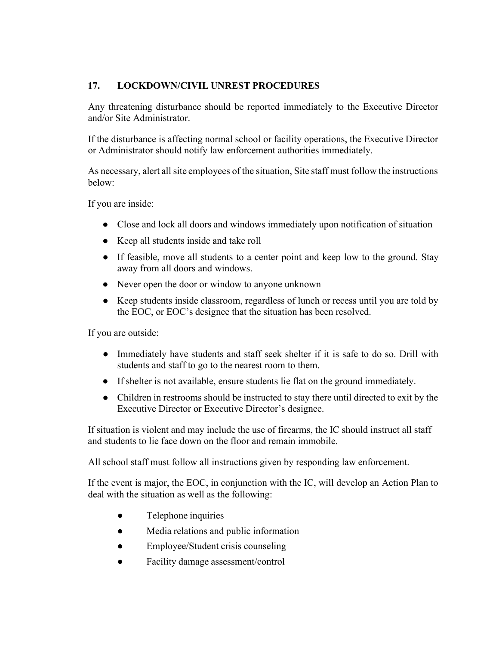## **17. LOCKDOWN/CIVIL UNREST PROCEDURES**

Any threatening disturbance should be reported immediately to the Executive Director and/or Site Administrator.

If the disturbance is affecting normal school or facility operations, the Executive Director or Administrator should notify law enforcement authorities immediately.

As necessary, alert all site employees of the situation, Site staff must follow the instructions below:

If you are inside:

- Close and lock all doors and windows immediately upon notification of situation
- Keep all students inside and take roll
- If feasible, move all students to a center point and keep low to the ground. Stay away from all doors and windows.
- Never open the door or window to anyone unknown
- Keep students inside classroom, regardless of lunch or recess until you are told by the EOC, or EOC's designee that the situation has been resolved.

If you are outside:

- Immediately have students and staff seek shelter if it is safe to do so. Drill with students and staff to go to the nearest room to them.
- If shelter is not available, ensure students lie flat on the ground immediately.
- Children in restrooms should be instructed to stay there until directed to exit by the Executive Director or Executive Director's designee.

If situation is violent and may include the use of firearms, the IC should instruct all staff and students to lie face down on the floor and remain immobile.

All school staff must follow all instructions given by responding law enforcement.

If the event is major, the EOC, in conjunction with the IC, will develop an Action Plan to deal with the situation as well as the following:

- Telephone inquiries
- Media relations and public information
- Employee/Student crisis counseling
- Facility damage assessment/control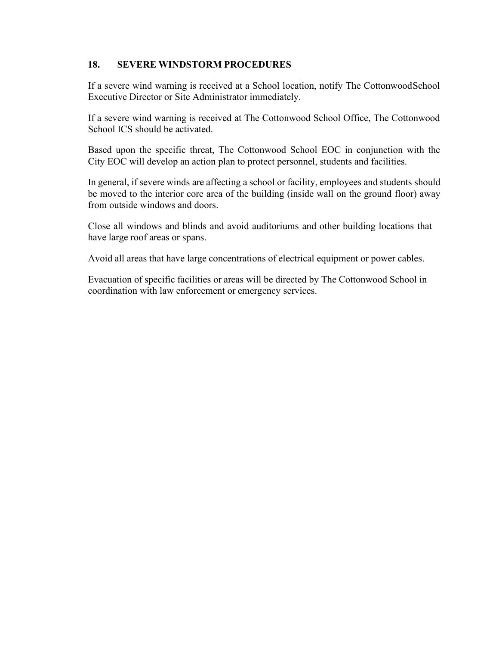## **18. SEVERE WINDSTORM PROCEDURES**

If a severe wind warning is received at a School location, notify The CottonwoodSchool Executive Director or Site Administrator immediately.

If a severe wind warning is received at The Cottonwood School Office, The Cottonwood School ICS should be activated.

Based upon the specific threat, The Cottonwood School EOC in conjunction with the City EOC will develop an action plan to protect personnel, students and facilities.

In general, if severe winds are affecting a school or facility, employees and students should be moved to the interior core area of the building (inside wall on the ground floor) away from outside windows and doors.

Close all windows and blinds and avoid auditoriums and other building locations that have large roof areas or spans.

Avoid all areas that have large concentrations of electrical equipment or power cables.

Evacuation of specific facilities or areas will be directed by The Cottonwood School in coordination with law enforcement or emergency services.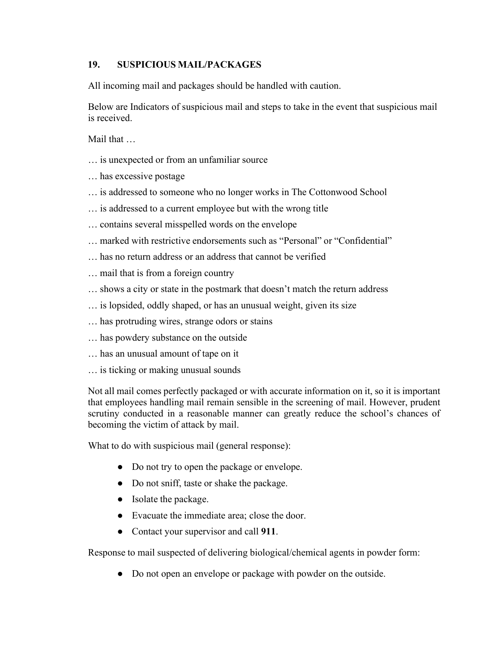## **19. SUSPICIOUS MAIL/PACKAGES**

All incoming mail and packages should be handled with caution.

Below are Indicators of suspicious mail and steps to take in the event that suspicious mail is received.

Mail that …

- … is unexpected or from an unfamiliar source
- … has excessive postage
- … is addressed to someone who no longer works in The Cottonwood School
- … is addressed to a current employee but with the wrong title
- … contains several misspelled words on the envelope
- … marked with restrictive endorsements such as "Personal" or "Confidential"
- … has no return address or an address that cannot be verified
- … mail that is from a foreign country
- … shows a city or state in the postmark that doesn't match the return address
- … is lopsided, oddly shaped, or has an unusual weight, given its size
- … has protruding wires, strange odors or stains
- … has powdery substance on the outside
- … has an unusual amount of tape on it
- … is ticking or making unusual sounds

Not all mail comes perfectly packaged or with accurate information on it, so it is important that employees handling mail remain sensible in the screening of mail. However, prudent scrutiny conducted in a reasonable manner can greatly reduce the school's chances of becoming the victim of attack by mail.

What to do with suspicious mail (general response):

- Do not try to open the package or envelope.
- Do not sniff, taste or shake the package.
- Isolate the package.
- Evacuate the immediate area; close the door.
- Contact your supervisor and call **911**.

Response to mail suspected of delivering biological/chemical agents in powder form:

● Do not open an envelope or package with powder on the outside.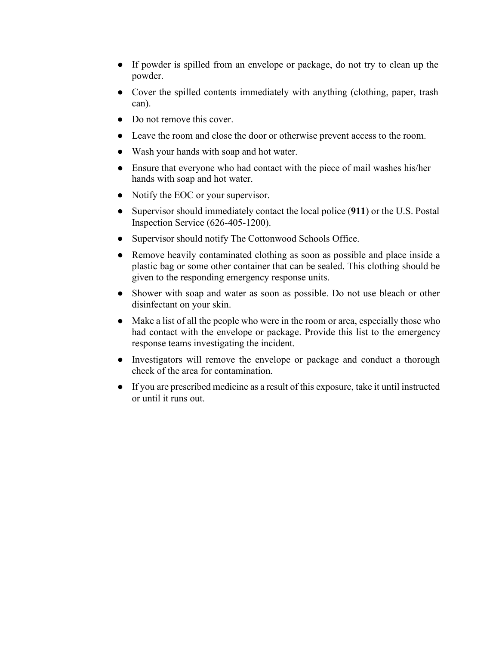- If powder is spilled from an envelope or package, do not try to clean up the powder.
- Cover the spilled contents immediately with anything (clothing, paper, trash can).
- Do not remove this cover.
- Leave the room and close the door or otherwise prevent access to the room.
- Wash your hands with soap and hot water.
- Ensure that everyone who had contact with the piece of mail washes his/her hands with soap and hot water.
- Notify the EOC or your supervisor.
- Supervisor should immediately contact the local police (**911**) or the U.S. Postal Inspection Service (626-405-1200).
- Supervisor should notify The Cottonwood Schools Office.
- Remove heavily contaminated clothing as soon as possible and place inside a plastic bag or some other container that can be sealed. This clothing should be given to the responding emergency response units.
- Shower with soap and water as soon as possible. Do not use bleach or other disinfectant on your skin.
- Make a list of all the people who were in the room or area, especially those who had contact with the envelope or package. Provide this list to the emergency response teams investigating the incident.
- Investigators will remove the envelope or package and conduct a thorough check of the area for contamination.
- If you are prescribed medicine as a result of this exposure, take it until instructed or until it runs out.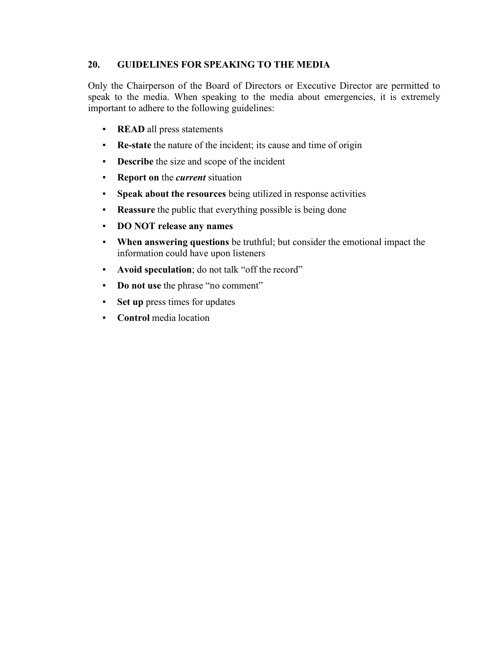## **20. GUIDELINES FOR SPEAKING TO THE MEDIA**

Only the Chairperson of the Board of Directors or Executive Director are permitted to speak to the media. When speaking to the media about emergencies, it is extremely important to adhere to the following guidelines:

- **READ** all press statements
- **Re-state** the nature of the incident; its cause and time of origin
- **Describe** the size and scope of the incident
- **Report on** the *current* situation
- **Speak about the resources** being utilized in response activities
- **Reassure** the public that everything possible is being done
- **DO NOT release any names**
- **When answering questions** be truthful; but consider the emotional impact the information could have upon listeners
- **Avoid speculation**; do not talk "off the record"
- **Do not use** the phrase "no comment"
- **Set up** press times for updates
- **Control** media location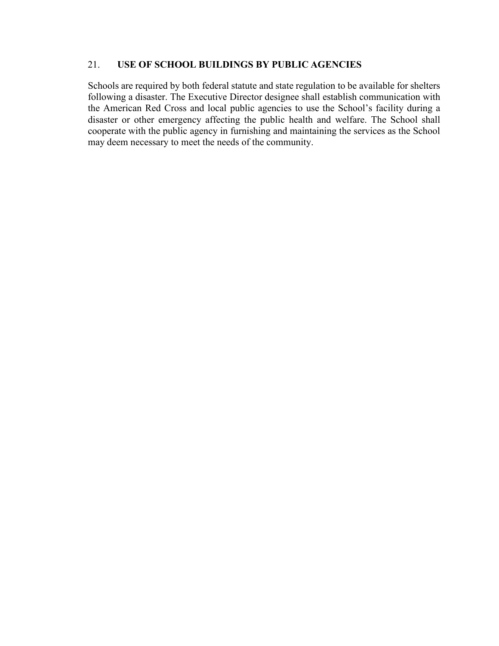#### 21. **USE OF SCHOOL BUILDINGS BY PUBLIC AGENCIES**

Schools are required by both federal statute and state regulation to be available for shelters following a disaster. The Executive Director designee shall establish communication with the American Red Cross and local public agencies to use the School's facility during a disaster or other emergency affecting the public health and welfare. The School shall cooperate with the public agency in furnishing and maintaining the services as the School may deem necessary to meet the needs of the community.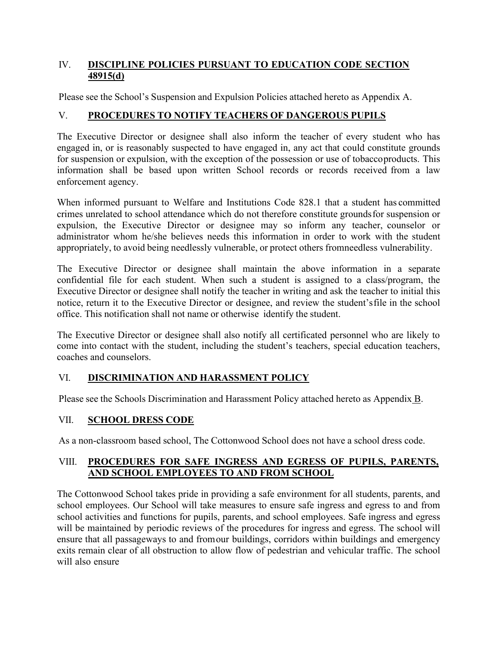## IV. **DISCIPLINE POLICIES PURSUANT TO EDUCATION CODE SECTION 48915(d)**

Please see the School's Suspension and Expulsion Policies attached hereto as Appendix A.

## V. **PROCEDURES TO NOTIFY TEACHERS OF DANGEROUS PUPILS**

The Executive Director or designee shall also inform the teacher of every student who has engaged in, or is reasonably suspected to have engaged in, any act that could constitute grounds for suspension or expulsion, with the exception of the possession or use of tobaccoproducts. This information shall be based upon written School records or records received from a law enforcement agency.

When informed pursuant to Welfare and Institutions Code 828.1 that a student has committed crimes unrelated to school attendance which do not therefore constitute groundsfor suspension or expulsion, the Executive Director or designee may so inform any teacher, counselor or administrator whom he/she believes needs this information in order to work with the student appropriately, to avoid being needlessly vulnerable, or protect others fromneedless vulnerability.

The Executive Director or designee shall maintain the above information in a separate confidential file for each student. When such a student is assigned to a class/program, the Executive Director or designee shall notify the teacher in writing and ask the teacher to initial this notice, return it to the Executive Director or designee, and review the student'sfile in the school office. This notification shall not name or otherwise identify the student.

The Executive Director or designee shall also notify all certificated personnel who are likely to come into contact with the student, including the student's teachers, special education teachers, coaches and counselors.

## VI. **DISCRIMINATION AND HARASSMENT POLICY**

Please see the Schools Discrimination and Harassment Policy attached hereto as Appendix B.

## VII. **SCHOOL DRESS CODE**

As a non-classroom based school, The Cottonwood School does not have a school dress code.

## VIII. **PROCEDURES FOR SAFE INGRESS AND EGRESS OF PUPILS, PARENTS, AND SCHOOL EMPLOYEES TO AND FROM SCHOOL**

The Cottonwood School takes pride in providing a safe environment for all students, parents, and school employees. Our School will take measures to ensure safe ingress and egress to and from school activities and functions for pupils, parents, and school employees. Safe ingress and egress will be maintained by periodic reviews of the procedures for ingress and egress. The school will ensure that all passageways to and fromour buildings, corridors within buildings and emergency exits remain clear of all obstruction to allow flow of pedestrian and vehicular traffic. The school will also ensure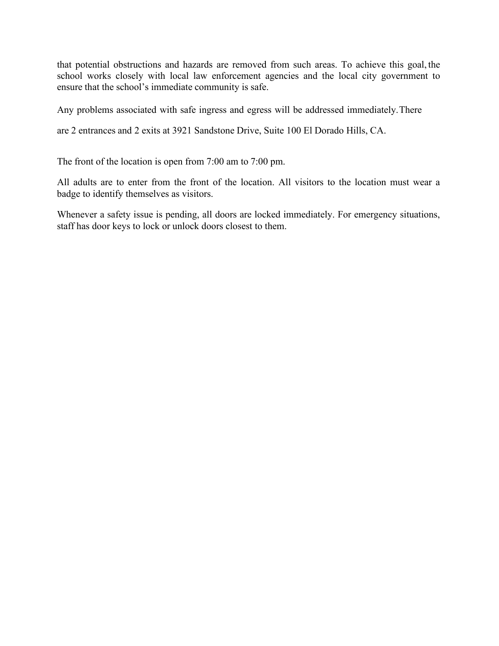that potential obstructions and hazards are removed from such areas. To achieve this goal, the school works closely with local law enforcement agencies and the local city government to ensure that the school's immediate community is safe.

Any problems associated with safe ingress and egress will be addressed immediately.There

are 2 entrances and 2 exits at 3921 Sandstone Drive, Suite 100 El Dorado Hills, CA.

The front of the location is open from 7:00 am to 7:00 pm.

All adults are to enter from the front of the location. All visitors to the location must wear a badge to identify themselves as visitors.

Whenever a safety issue is pending, all doors are locked immediately. For emergency situations, staff has door keys to lock or unlock doors closest to them.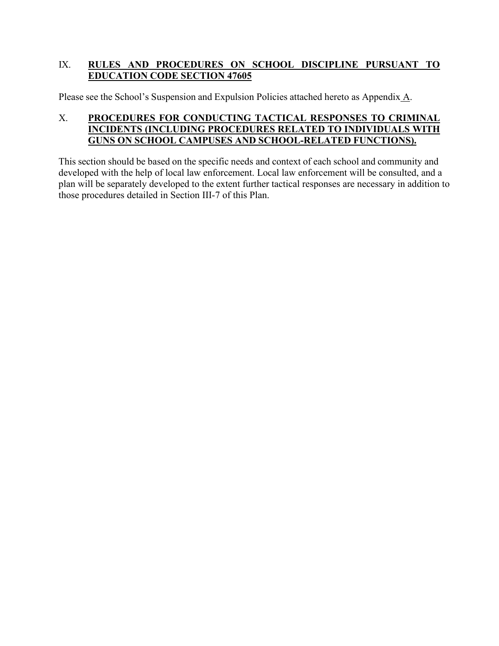## IX. **RULES AND PROCEDURES ON SCHOOL DISCIPLINE PURSUANT TO EDUCATION CODE SECTION 47605**

Please see the School's Suspension and Expulsion Policies attached hereto as Appendix A.

## X. **PROCEDURES FOR CONDUCTING TACTICAL RESPONSES TO CRIMINAL INCIDENTS (INCLUDING PROCEDURES RELATED TO INDIVIDUALS WITH GUNS ON SCHOOL CAMPUSES AND SCHOOL-RELATED FUNCTIONS).**

This section should be based on the specific needs and context of each school and community and developed with the help of local law enforcement. Local law enforcement will be consulted, and a plan will be separately developed to the extent further tactical responses are necessary in addition to those procedures detailed in Section III-7 of this Plan.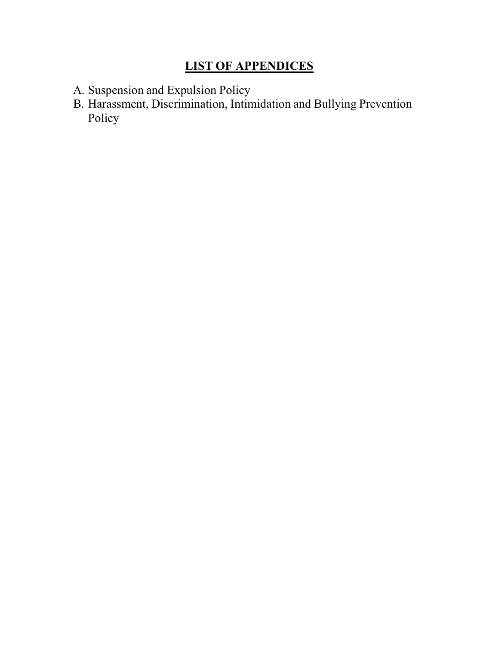## **LIST OF APPENDICES**

- A. Suspension and Expulsion Policy
- B. Harassment, Discrimination, Intimidation and Bullying Prevention Policy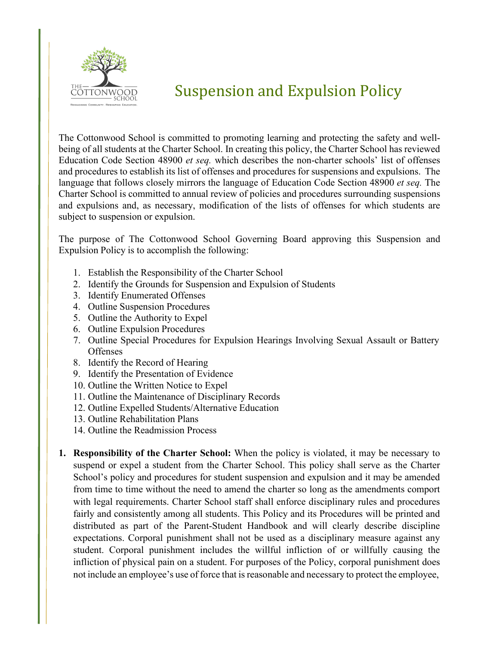

# Suspension and Expulsion Policy

The Cottonwood School is committed to promoting learning and protecting the safety and wellbeing of all students at the Charter School. In creating this policy, the Charter School has reviewed Education Code Section 48900 *et seq.* which describes the non-charter schools' list of offenses and procedures to establish its list of offenses and procedures for suspensions and expulsions. The language that follows closely mirrors the language of Education Code Section 48900 *et seq.* The Charter School is committed to annual review of policies and procedures surrounding suspensions and expulsions and, as necessary, modification of the lists of offenses for which students are subject to suspension or expulsion.

The purpose of The Cottonwood School Governing Board approving this Suspension and Expulsion Policy is to accomplish the following:

- 1. Establish the Responsibility of the Charter School
- 2. Identify the Grounds for Suspension and Expulsion of Students
- 3. Identify Enumerated Offenses
- 4. Outline Suspension Procedures
- 5. Outline the Authority to Expel
- 6. Outline Expulsion Procedures
- 7. Outline Special Procedures for Expulsion Hearings Involving Sexual Assault or Battery **Offenses**
- 8. Identify the Record of Hearing
- 9. Identify the Presentation of Evidence
- 10. Outline the Written Notice to Expel
- 11. Outline the Maintenance of Disciplinary Records
- 12. Outline Expelled Students/Alternative Education
- 13. Outline Rehabilitation Plans
- 14. Outline the Readmission Process
- **1. Responsibility of the Charter School:** When the policy is violated, it may be necessary to suspend or expel a student from the Charter School. This policy shall serve as the Charter School's policy and procedures for student suspension and expulsion and it may be amended from time to time without the need to amend the charter so long as the amendments comport with legal requirements. Charter School staff shall enforce disciplinary rules and procedures fairly and consistently among all students. This Policy and its Procedures will be printed and distributed as part of the Parent-Student Handbook and will clearly describe discipline expectations. Corporal punishment shall not be used as a disciplinary measure against any student. Corporal punishment includes the willful infliction of or willfully causing the infliction of physical pain on a student. For purposes of the Policy, corporal punishment does not include an employee's use of force that is reasonable and necessary to protect the employee,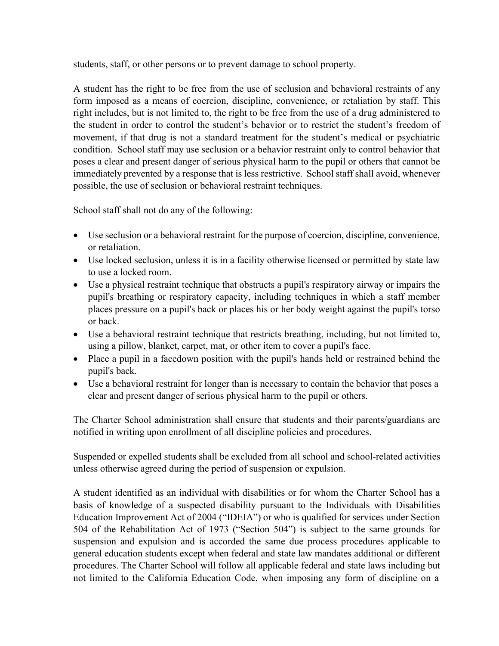students, staff, or other persons or to prevent damage to school property.

A student has the right to be free from the use of seclusion and behavioral restraints of any form imposed as a means of coercion, discipline, convenience, or retaliation by staff. This right includes, but is not limited to, the right to be free from the use of a drug administered to the student in order to control the student's behavior or to restrict the student's freedom of movement, if that drug is not a standard treatment for the student's medical or psychiatric condition. School staff may use seclusion or a behavior restraint only to control behavior that poses a clear and present danger of serious physical harm to the pupil or others that cannot be immediately prevented by a response that is less restrictive. School staff shall avoid, whenever possible, the use of seclusion or behavioral restraint techniques.

School staff shall not do any of the following:

- Use seclusion or a behavioral restraint for the purpose of coercion, discipline, convenience, or retaliation.
- Use locked seclusion, unless it is in a facility otherwise licensed or permitted by state law to use a locked room.
- Use a physical restraint technique that obstructs a pupil's respiratory airway or impairs the pupil's breathing or respiratory capacity, including techniques in which a staff member places pressure on a pupil's back or places his or her body weight against the pupil's torso or back.
- Use a behavioral restraint technique that restricts breathing, including, but not limited to, using a pillow, blanket, carpet, mat, or other item to cover a pupil's face.
- Place a pupil in a facedown position with the pupil's hands held or restrained behind the pupil's back.
- Use a behavioral restraint for longer than is necessary to contain the behavior that poses a clear and present danger of serious physical harm to the pupil or others.

The Charter School administration shall ensure that students and their parents/guardians are notified in writing upon enrollment of all discipline policies and procedures.

Suspended or expelled students shall be excluded from all school and school-related activities unless otherwise agreed during the period of suspension or expulsion.

A student identified as an individual with disabilities or for whom the Charter School has a basis of knowledge of a suspected disability pursuant to the Individuals with Disabilities Education Improvement Act of 2004 ("IDEIA") or who is qualified for services under Section 504 of the Rehabilitation Act of 1973 ("Section 504") is subject to the same grounds for suspension and expulsion and is accorded the same due process procedures applicable to general education students except when federal and state law mandates additional or different procedures. The Charter School will follow all applicable federal and state laws including but not limited to the California Education Code, when imposing any form of discipline on a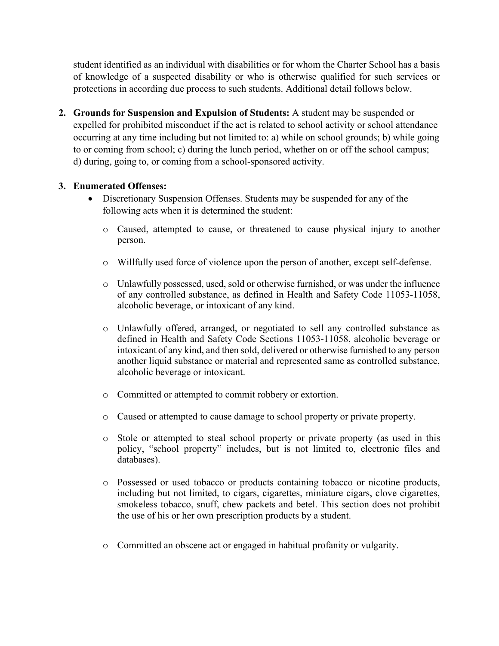student identified as an individual with disabilities or for whom the Charter School has a basis of knowledge of a suspected disability or who is otherwise qualified for such services or protections in according due process to such students. Additional detail follows below.

**2. Grounds for Suspension and Expulsion of Students:** A student may be suspended or expelled for prohibited misconduct if the act is related to school activity or school attendance occurring at any time including but not limited to: a) while on school grounds; b) while going to or coming from school; c) during the lunch period, whether on or off the school campus; d) during, going to, or coming from a school-sponsored activity.

## **3. Enumerated Offenses:**

- Discretionary Suspension Offenses. Students may be suspended for any of the following acts when it is determined the student:
	- o Caused, attempted to cause, or threatened to cause physical injury to another person.
	- o Willfully used force of violence upon the person of another, except self-defense.
	- o Unlawfully possessed, used, sold or otherwise furnished, or was under the influence of any controlled substance, as defined in Health and Safety Code 11053-11058, alcoholic beverage, or intoxicant of any kind.
	- o Unlawfully offered, arranged, or negotiated to sell any controlled substance as defined in Health and Safety Code Sections 11053-11058, alcoholic beverage or intoxicant of any kind, and then sold, delivered or otherwise furnished to any person another liquid substance or material and represented same as controlled substance, alcoholic beverage or intoxicant.
	- o Committed or attempted to commit robbery or extortion.
	- o Caused or attempted to cause damage to school property or private property.
	- o Stole or attempted to steal school property or private property (as used in this policy, "school property" includes, but is not limited to, electronic files and databases).
	- o Possessed or used tobacco or products containing tobacco or nicotine products, including but not limited, to cigars, cigarettes, miniature cigars, clove cigarettes, smokeless tobacco, snuff, chew packets and betel. This section does not prohibit the use of his or her own prescription products by a student.
	- o Committed an obscene act or engaged in habitual profanity or vulgarity.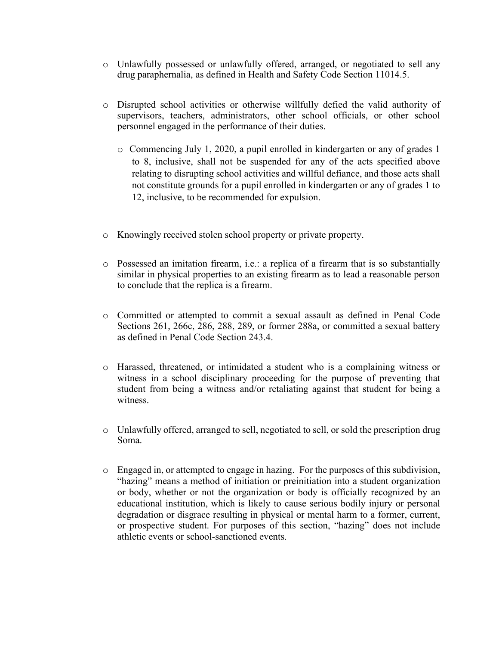- o Unlawfully possessed or unlawfully offered, arranged, or negotiated to sell any drug paraphernalia, as defined in Health and Safety Code Section 11014.5.
- o Disrupted school activities or otherwise willfully defied the valid authority of supervisors, teachers, administrators, other school officials, or other school personnel engaged in the performance of their duties.
	- o Commencing July 1, 2020, a pupil enrolled in kindergarten or any of grades 1 to 8, inclusive, shall not be suspended for any of the acts specified above relating to disrupting school activities and willful defiance, and those acts shall not constitute grounds for a pupil enrolled in kindergarten or any of grades 1 to 12, inclusive, to be recommended for expulsion.
- o Knowingly received stolen school property or private property.
- o Possessed an imitation firearm, i.e.: a replica of a firearm that is so substantially similar in physical properties to an existing firearm as to lead a reasonable person to conclude that the replica is a firearm.
- o Committed or attempted to commit a sexual assault as defined in Penal Code Sections 261, 266c, 286, 288, 289, or former 288a, or committed a sexual battery as defined in Penal Code Section 243.4.
- o Harassed, threatened, or intimidated a student who is a complaining witness or witness in a school disciplinary proceeding for the purpose of preventing that student from being a witness and/or retaliating against that student for being a witness.
- o Unlawfully offered, arranged to sell, negotiated to sell, or sold the prescription drug Soma.
- o Engaged in, or attempted to engage in hazing. For the purposes of this subdivision, "hazing" means a method of initiation or preinitiation into a student organization or body, whether or not the organization or body is officially recognized by an educational institution, which is likely to cause serious bodily injury or personal degradation or disgrace resulting in physical or mental harm to a former, current, or prospective student. For purposes of this section, "hazing" does not include athletic events or school-sanctioned events.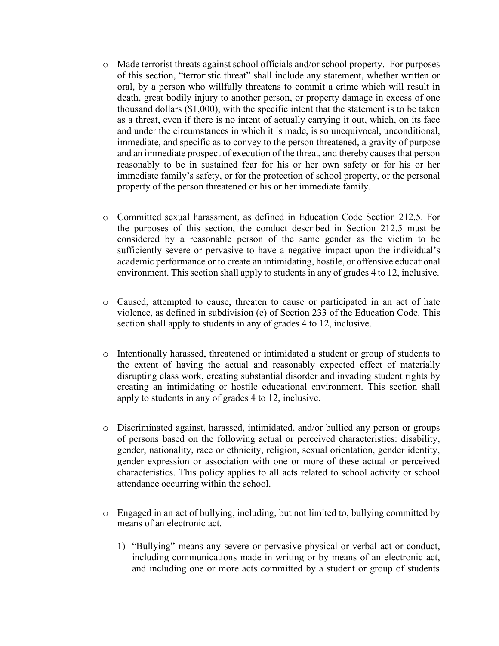- o Made terrorist threats against school officials and/or school property. For purposes of this section, "terroristic threat" shall include any statement, whether written or oral, by a person who willfully threatens to commit a crime which will result in death, great bodily injury to another person, or property damage in excess of one thousand dollars (\$1,000), with the specific intent that the statement is to be taken as a threat, even if there is no intent of actually carrying it out, which, on its face and under the circumstances in which it is made, is so unequivocal, unconditional, immediate, and specific as to convey to the person threatened, a gravity of purpose and an immediate prospect of execution of the threat, and thereby causes that person reasonably to be in sustained fear for his or her own safety or for his or her immediate family's safety, or for the protection of school property, or the personal property of the person threatened or his or her immediate family.
- o Committed sexual harassment, as defined in Education Code Section 212.5. For the purposes of this section, the conduct described in Section 212.5 must be considered by a reasonable person of the same gender as the victim to be sufficiently severe or pervasive to have a negative impact upon the individual's academic performance or to create an intimidating, hostile, or offensive educational environment. This section shall apply to students in any of grades 4 to 12, inclusive.
- o Caused, attempted to cause, threaten to cause or participated in an act of hate violence, as defined in subdivision (e) of Section 233 of the Education Code. This section shall apply to students in any of grades 4 to 12, inclusive.
- o Intentionally harassed, threatened or intimidated a student or group of students to the extent of having the actual and reasonably expected effect of materially disrupting class work, creating substantial disorder and invading student rights by creating an intimidating or hostile educational environment. This section shall apply to students in any of grades 4 to 12, inclusive.
- o Discriminated against, harassed, intimidated, and/or bullied any person or groups of persons based on the following actual or perceived characteristics: disability, gender, nationality, race or ethnicity, religion, sexual orientation, gender identity, gender expression or association with one or more of these actual or perceived characteristics. This policy applies to all acts related to school activity or school attendance occurring within the school.
- o Engaged in an act of bullying, including, but not limited to, bullying committed by means of an electronic act.
	- 1) "Bullying" means any severe or pervasive physical or verbal act or conduct, including communications made in writing or by means of an electronic act, and including one or more acts committed by a student or group of students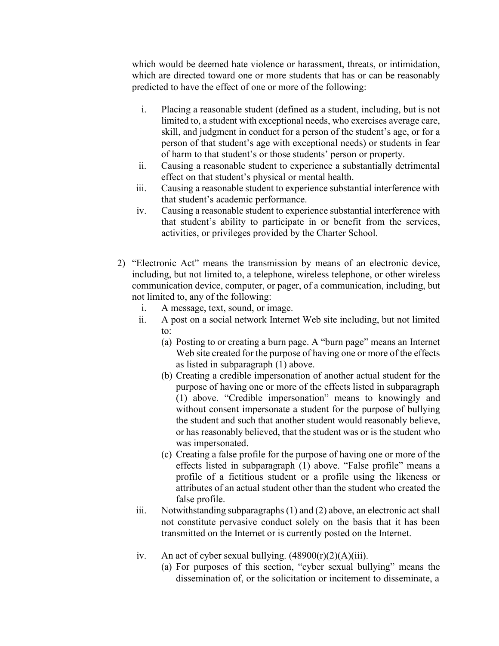which would be deemed hate violence or harassment, threats, or intimidation, which are directed toward one or more students that has or can be reasonably predicted to have the effect of one or more of the following:

- i. Placing a reasonable student (defined as a student, including, but is not limited to, a student with exceptional needs, who exercises average care, skill, and judgment in conduct for a person of the student's age, or for a person of that student's age with exceptional needs) or students in fear of harm to that student's or those students' person or property.
- ii. Causing a reasonable student to experience a substantially detrimental effect on that student's physical or mental health.
- iii. Causing a reasonable student to experience substantial interference with that student's academic performance.
- iv. Causing a reasonable student to experience substantial interference with that student's ability to participate in or benefit from the services, activities, or privileges provided by the Charter School.
- 2) "Electronic Act" means the transmission by means of an electronic device, including, but not limited to, a telephone, wireless telephone, or other wireless communication device, computer, or pager, of a communication, including, but not limited to, any of the following:
	- i. A message, text, sound, or image.
	- ii. A post on a social network Internet Web site including, but not limited to:
		- (a) Posting to or creating a burn page. A "burn page" means an Internet Web site created for the purpose of having one or more of the effects as listed in subparagraph (1) above.
		- (b) Creating a credible impersonation of another actual student for the purpose of having one or more of the effects listed in subparagraph (1) above. "Credible impersonation" means to knowingly and without consent impersonate a student for the purpose of bullying the student and such that another student would reasonably believe, or has reasonably believed, that the student was or is the student who was impersonated.
		- (c) Creating a false profile for the purpose of having one or more of the effects listed in subparagraph (1) above. "False profile" means a profile of a fictitious student or a profile using the likeness or attributes of an actual student other than the student who created the false profile.
	- iii. Notwithstanding subparagraphs (1) and (2) above, an electronic act shall not constitute pervasive conduct solely on the basis that it has been transmitted on the Internet or is currently posted on the Internet.
	- iv. An act of cyber sexual bullying.  $(48900(r)(2)(A)(iii)$ .
		- (a) For purposes of this section, "cyber sexual bullying" means the dissemination of, or the solicitation or incitement to disseminate, a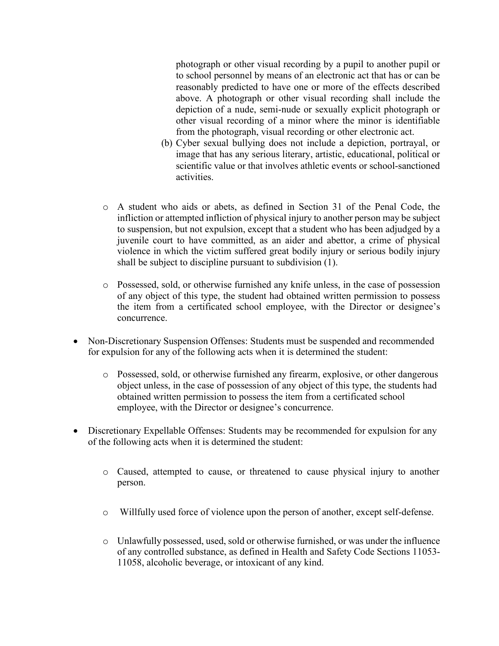photograph or other visual recording by a pupil to another pupil or to school personnel by means of an electronic act that has or can be reasonably predicted to have one or more of the effects described above. A photograph or other visual recording shall include the depiction of a nude, semi-nude or sexually explicit photograph or other visual recording of a minor where the minor is identifiable from the photograph, visual recording or other electronic act.

- (b) Cyber sexual bullying does not include a depiction, portrayal, or image that has any serious literary, artistic, educational, political or scientific value or that involves athletic events or school-sanctioned activities.
- o A student who aids or abets, as defined in Section 31 of the Penal Code, the infliction or attempted infliction of physical injury to another person may be subject to suspension, but not expulsion, except that a student who has been adjudged by a juvenile court to have committed, as an aider and abettor, a crime of physical violence in which the victim suffered great bodily injury or serious bodily injury shall be subject to discipline pursuant to subdivision (1).
- o Possessed, sold, or otherwise furnished any knife unless, in the case of possession of any object of this type, the student had obtained written permission to possess the item from a certificated school employee, with the Director or designee's concurrence.
- Non-Discretionary Suspension Offenses: Students must be suspended and recommended for expulsion for any of the following acts when it is determined the student:
	- o Possessed, sold, or otherwise furnished any firearm, explosive, or other dangerous object unless, in the case of possession of any object of this type, the students had obtained written permission to possess the item from a certificated school employee, with the Director or designee's concurrence.
- Discretionary Expellable Offenses: Students may be recommended for expulsion for any of the following acts when it is determined the student:
	- o Caused, attempted to cause, or threatened to cause physical injury to another person.
	- o Willfully used force of violence upon the person of another, except self-defense.
	- o Unlawfully possessed, used, sold or otherwise furnished, or was under the influence of any controlled substance, as defined in Health and Safety Code Sections 11053- 11058, alcoholic beverage, or intoxicant of any kind.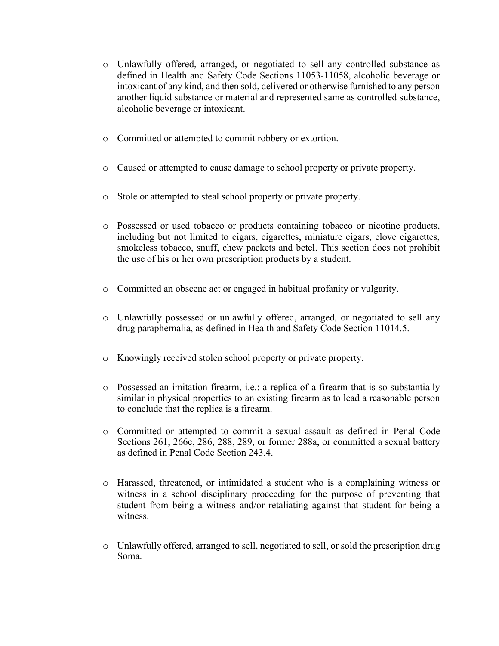- o Unlawfully offered, arranged, or negotiated to sell any controlled substance as defined in Health and Safety Code Sections 11053-11058, alcoholic beverage or intoxicant of any kind, and then sold, delivered or otherwise furnished to any person another liquid substance or material and represented same as controlled substance, alcoholic beverage or intoxicant.
- o Committed or attempted to commit robbery or extortion.
- o Caused or attempted to cause damage to school property or private property.
- o Stole or attempted to steal school property or private property.
- o Possessed or used tobacco or products containing tobacco or nicotine products, including but not limited to cigars, cigarettes, miniature cigars, clove cigarettes, smokeless tobacco, snuff, chew packets and betel. This section does not prohibit the use of his or her own prescription products by a student.
- o Committed an obscene act or engaged in habitual profanity or vulgarity.
- o Unlawfully possessed or unlawfully offered, arranged, or negotiated to sell any drug paraphernalia, as defined in Health and Safety Code Section 11014.5.
- o Knowingly received stolen school property or private property.
- o Possessed an imitation firearm, i.e.: a replica of a firearm that is so substantially similar in physical properties to an existing firearm as to lead a reasonable person to conclude that the replica is a firearm.
- o Committed or attempted to commit a sexual assault as defined in Penal Code Sections 261, 266c, 286, 288, 289, or former 288a, or committed a sexual battery as defined in Penal Code Section 243.4.
- o Harassed, threatened, or intimidated a student who is a complaining witness or witness in a school disciplinary proceeding for the purpose of preventing that student from being a witness and/or retaliating against that student for being a witness.
- o Unlawfully offered, arranged to sell, negotiated to sell, or sold the prescription drug Soma.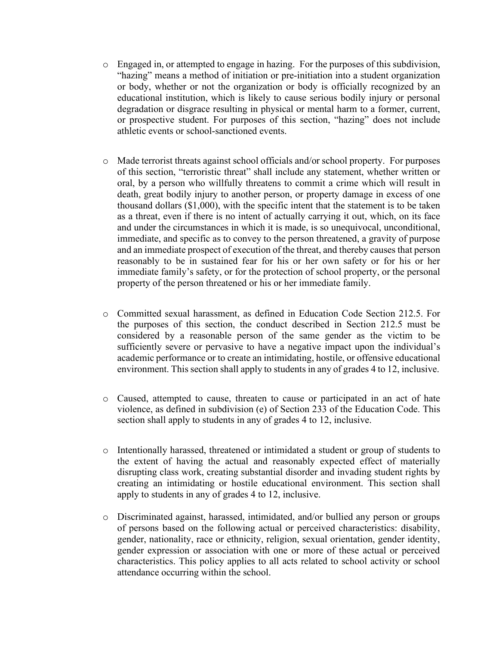- o Engaged in, or attempted to engage in hazing. For the purposes of this subdivision, "hazing" means a method of initiation or pre-initiation into a student organization or body, whether or not the organization or body is officially recognized by an educational institution, which is likely to cause serious bodily injury or personal degradation or disgrace resulting in physical or mental harm to a former, current, or prospective student. For purposes of this section, "hazing" does not include athletic events or school-sanctioned events.
- o Made terrorist threats against school officials and/or school property. For purposes of this section, "terroristic threat" shall include any statement, whether written or oral, by a person who willfully threatens to commit a crime which will result in death, great bodily injury to another person, or property damage in excess of one thousand dollars (\$1,000), with the specific intent that the statement is to be taken as a threat, even if there is no intent of actually carrying it out, which, on its face and under the circumstances in which it is made, is so unequivocal, unconditional, immediate, and specific as to convey to the person threatened, a gravity of purpose and an immediate prospect of execution of the threat, and thereby causes that person reasonably to be in sustained fear for his or her own safety or for his or her immediate family's safety, or for the protection of school property, or the personal property of the person threatened or his or her immediate family.
- o Committed sexual harassment, as defined in Education Code Section 212.5. For the purposes of this section, the conduct described in Section 212.5 must be considered by a reasonable person of the same gender as the victim to be sufficiently severe or pervasive to have a negative impact upon the individual's academic performance or to create an intimidating, hostile, or offensive educational environment. This section shall apply to students in any of grades 4 to 12, inclusive.
- o Caused, attempted to cause, threaten to cause or participated in an act of hate violence, as defined in subdivision (e) of Section 233 of the Education Code. This section shall apply to students in any of grades 4 to 12, inclusive.
- o Intentionally harassed, threatened or intimidated a student or group of students to the extent of having the actual and reasonably expected effect of materially disrupting class work, creating substantial disorder and invading student rights by creating an intimidating or hostile educational environment. This section shall apply to students in any of grades 4 to 12, inclusive.
- o Discriminated against, harassed, intimidated, and/or bullied any person or groups of persons based on the following actual or perceived characteristics: disability, gender, nationality, race or ethnicity, religion, sexual orientation, gender identity, gender expression or association with one or more of these actual or perceived characteristics. This policy applies to all acts related to school activity or school attendance occurring within the school.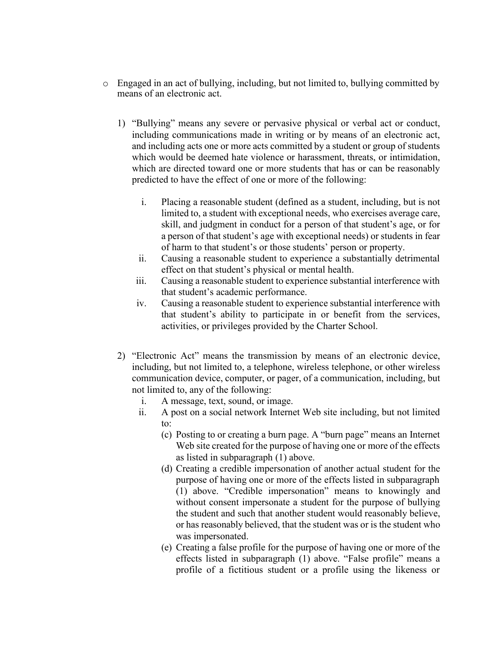- o Engaged in an act of bullying, including, but not limited to, bullying committed by means of an electronic act.
	- 1) "Bullying" means any severe or pervasive physical or verbal act or conduct, including communications made in writing or by means of an electronic act, and including acts one or more acts committed by a student or group of students which would be deemed hate violence or harassment, threats, or intimidation, which are directed toward one or more students that has or can be reasonably predicted to have the effect of one or more of the following:
		- i. Placing a reasonable student (defined as a student, including, but is not limited to, a student with exceptional needs, who exercises average care, skill, and judgment in conduct for a person of that student's age, or for a person of that student's age with exceptional needs) or students in fear of harm to that student's or those students' person or property.
		- ii. Causing a reasonable student to experience a substantially detrimental effect on that student's physical or mental health.
		- iii. Causing a reasonable student to experience substantial interference with that student's academic performance.
		- iv. Causing a reasonable student to experience substantial interference with that student's ability to participate in or benefit from the services, activities, or privileges provided by the Charter School.
	- 2) "Electronic Act" means the transmission by means of an electronic device, including, but not limited to, a telephone, wireless telephone, or other wireless communication device, computer, or pager, of a communication, including, but not limited to, any of the following:
		- i. A message, text, sound, or image.
		- ii. A post on a social network Internet Web site including, but not limited to:
			- (c) Posting to or creating a burn page. A "burn page" means an Internet Web site created for the purpose of having one or more of the effects as listed in subparagraph (1) above.
			- (d) Creating a credible impersonation of another actual student for the purpose of having one or more of the effects listed in subparagraph (1) above. "Credible impersonation" means to knowingly and without consent impersonate a student for the purpose of bullying the student and such that another student would reasonably believe, or has reasonably believed, that the student was or is the student who was impersonated.
			- (e) Creating a false profile for the purpose of having one or more of the effects listed in subparagraph (1) above. "False profile" means a profile of a fictitious student or a profile using the likeness or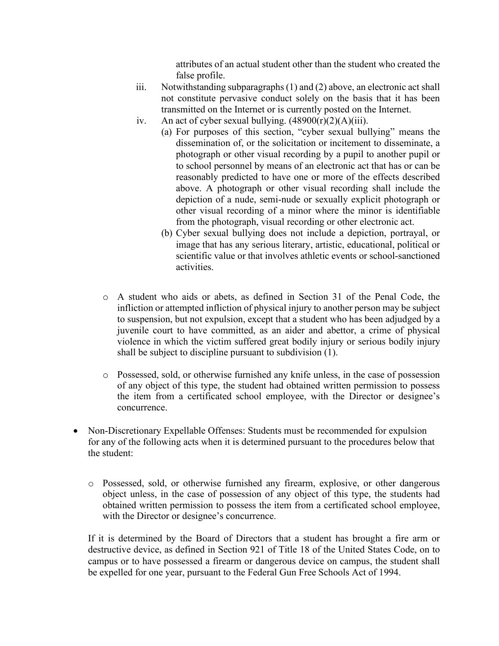attributes of an actual student other than the student who created the false profile.

- iii. Notwithstanding subparagraphs (1) and (2) above, an electronic act shall not constitute pervasive conduct solely on the basis that it has been transmitted on the Internet or is currently posted on the Internet.
- iv. An act of cyber sexual bullying.  $(48900(r)(2)(A)(iii)$ .
	- (a) For purposes of this section, "cyber sexual bullying" means the dissemination of, or the solicitation or incitement to disseminate, a photograph or other visual recording by a pupil to another pupil or to school personnel by means of an electronic act that has or can be reasonably predicted to have one or more of the effects described above. A photograph or other visual recording shall include the depiction of a nude, semi-nude or sexually explicit photograph or other visual recording of a minor where the minor is identifiable from the photograph, visual recording or other electronic act.
	- (b) Cyber sexual bullying does not include a depiction, portrayal, or image that has any serious literary, artistic, educational, political or scientific value or that involves athletic events or school-sanctioned activities.
- o A student who aids or abets, as defined in Section 31 of the Penal Code, the infliction or attempted infliction of physical injury to another person may be subject to suspension, but not expulsion, except that a student who has been adjudged by a juvenile court to have committed, as an aider and abettor, a crime of physical violence in which the victim suffered great bodily injury or serious bodily injury shall be subject to discipline pursuant to subdivision (1).
- o Possessed, sold, or otherwise furnished any knife unless, in the case of possession of any object of this type, the student had obtained written permission to possess the item from a certificated school employee, with the Director or designee's concurrence.
- Non-Discretionary Expellable Offenses: Students must be recommended for expulsion for any of the following acts when it is determined pursuant to the procedures below that the student:
	- o Possessed, sold, or otherwise furnished any firearm, explosive, or other dangerous object unless, in the case of possession of any object of this type, the students had obtained written permission to possess the item from a certificated school employee, with the Director or designee's concurrence.

If it is determined by the Board of Directors that a student has brought a fire arm or destructive device, as defined in Section 921 of Title 18 of the United States Code, on to campus or to have possessed a firearm or dangerous device on campus, the student shall be expelled for one year, pursuant to the Federal Gun Free Schools Act of 1994.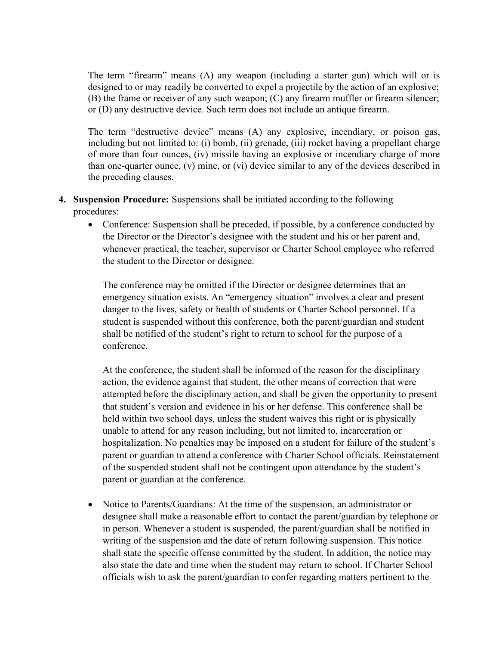The term "firearm" means (A) any weapon (including a starter gun) which will or is designed to or may readily be converted to expel a projectile by the action of an explosive; (B) the frame or receiver of any such weapon; (C) any firearm muffler or firearm silencer; or (D) any destructive device. Such term does not include an antique firearm.

The term "destructive device" means (A) any explosive, incendiary, or poison gas, including but not limited to: (i) bomb, (ii) grenade, (iii) rocket having a propellant charge of more than four ounces, (iv) missile having an explosive or incendiary charge of more than one-quarter ounce, (v) mine, or (vi) device similar to any of the devices described in the preceding clauses.

- **4. Suspension Procedure:** Suspensions shall be initiated according to the following procedures:
	- Conference: Suspension shall be preceded, if possible, by a conference conducted by the Director or the Director's designee with the student and his or her parent and, whenever practical, the teacher, supervisor or Charter School employee who referred the student to the Director or designee.

The conference may be omitted if the Director or designee determines that an emergency situation exists. An "emergency situation" involves a clear and present danger to the lives, safety or health of students or Charter School personnel. If a student is suspended without this conference, both the parent/guardian and student shall be notified of the student's right to return to school for the purpose of a conference.

At the conference, the student shall be informed of the reason for the disciplinary action, the evidence against that student, the other means of correction that were attempted before the disciplinary action, and shall be given the opportunity to present that student's version and evidence in his or her defense. This conference shall be held within two school days, unless the student waives this right or is physically unable to attend for any reason including, but not limited to, incarceration or hospitalization. No penalties may be imposed on a student for failure of the student's parent or guardian to attend a conference with Charter School officials. Reinstatement of the suspended student shall not be contingent upon attendance by the student's parent or guardian at the conference.

• Notice to Parents/Guardians: At the time of the suspension, an administrator or designee shall make a reasonable effort to contact the parent/guardian by telephone or in person. Whenever a student is suspended, the parent/guardian shall be notified in writing of the suspension and the date of return following suspension. This notice shall state the specific offense committed by the student. In addition, the notice may also state the date and time when the student may return to school. If Charter School officials wish to ask the parent/guardian to confer regarding matters pertinent to the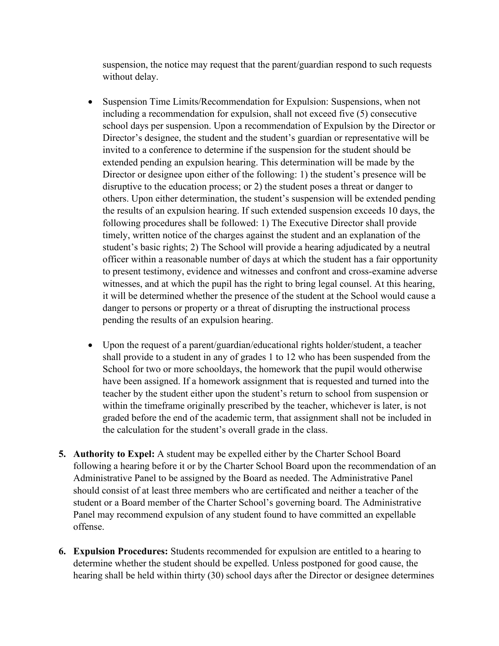suspension, the notice may request that the parent/guardian respond to such requests without delay.

- Suspension Time Limits/Recommendation for Expulsion: Suspensions, when not including a recommendation for expulsion, shall not exceed five (5) consecutive school days per suspension. Upon a recommendation of Expulsion by the Director or Director's designee, the student and the student's guardian or representative will be invited to a conference to determine if the suspension for the student should be extended pending an expulsion hearing. This determination will be made by the Director or designee upon either of the following: 1) the student's presence will be disruptive to the education process; or 2) the student poses a threat or danger to others. Upon either determination, the student's suspension will be extended pending the results of an expulsion hearing. If such extended suspension exceeds 10 days, the following procedures shall be followed: 1) The Executive Director shall provide timely, written notice of the charges against the student and an explanation of the student's basic rights; 2) The School will provide a hearing adjudicated by a neutral officer within a reasonable number of days at which the student has a fair opportunity to present testimony, evidence and witnesses and confront and cross-examine adverse witnesses, and at which the pupil has the right to bring legal counsel. At this hearing, it will be determined whether the presence of the student at the School would cause a danger to persons or property or a threat of disrupting the instructional process pending the results of an expulsion hearing.
- Upon the request of a parent/guardian/educational rights holder/student, a teacher shall provide to a student in any of grades 1 to 12 who has been suspended from the School for two or more schooldays, the homework that the pupil would otherwise have been assigned. If a homework assignment that is requested and turned into the teacher by the student either upon the student's return to school from suspension or within the timeframe originally prescribed by the teacher, whichever is later, is not graded before the end of the academic term, that assignment shall not be included in the calculation for the student's overall grade in the class.
- **5. Authority to Expel:** A student may be expelled either by the Charter School Board following a hearing before it or by the Charter School Board upon the recommendation of an Administrative Panel to be assigned by the Board as needed. The Administrative Panel should consist of at least three members who are certificated and neither a teacher of the student or a Board member of the Charter School's governing board. The Administrative Panel may recommend expulsion of any student found to have committed an expellable offense.
- **6. Expulsion Procedures:** Students recommended for expulsion are entitled to a hearing to determine whether the student should be expelled. Unless postponed for good cause, the hearing shall be held within thirty (30) school days after the Director or designee determines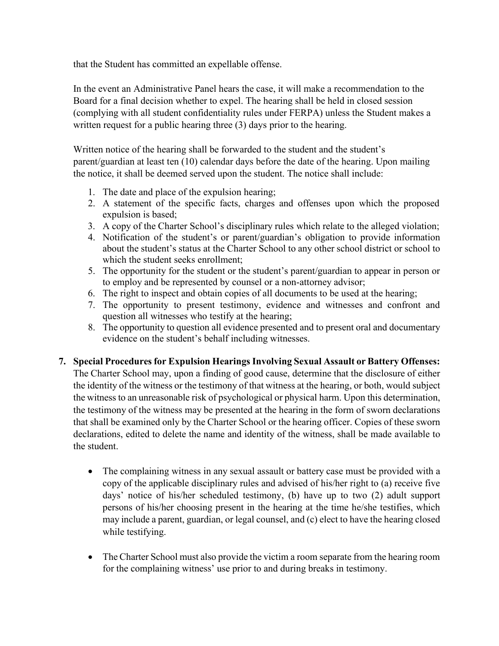that the Student has committed an expellable offense.

In the event an Administrative Panel hears the case, it will make a recommendation to the Board for a final decision whether to expel. The hearing shall be held in closed session (complying with all student confidentiality rules under FERPA) unless the Student makes a written request for a public hearing three (3) days prior to the hearing.

Written notice of the hearing shall be forwarded to the student and the student's parent/guardian at least ten (10) calendar days before the date of the hearing. Upon mailing the notice, it shall be deemed served upon the student. The notice shall include:

- 1. The date and place of the expulsion hearing;
- 2. A statement of the specific facts, charges and offenses upon which the proposed expulsion is based;
- 3. A copy of the Charter School's disciplinary rules which relate to the alleged violation;
- 4. Notification of the student's or parent/guardian's obligation to provide information about the student's status at the Charter School to any other school district or school to which the student seeks enrollment;
- 5. The opportunity for the student or the student's parent/guardian to appear in person or to employ and be represented by counsel or a non-attorney advisor;
- 6. The right to inspect and obtain copies of all documents to be used at the hearing;
- 7. The opportunity to present testimony, evidence and witnesses and confront and question all witnesses who testify at the hearing;
- 8. The opportunity to question all evidence presented and to present oral and documentary evidence on the student's behalf including witnesses.
- **7. Special Procedures for Expulsion Hearings Involving Sexual Assault or Battery Offenses:** The Charter School may, upon a finding of good cause, determine that the disclosure of either the identity of the witness or the testimony of that witness at the hearing, or both, would subject the witness to an unreasonable risk of psychological or physical harm. Upon this determination, the testimony of the witness may be presented at the hearing in the form of sworn declarations that shall be examined only by the Charter School or the hearing officer. Copies of these sworn declarations, edited to delete the name and identity of the witness, shall be made available to the student.
	- The complaining witness in any sexual assault or battery case must be provided with a copy of the applicable disciplinary rules and advised of his/her right to (a) receive five days' notice of his/her scheduled testimony, (b) have up to two (2) adult support persons of his/her choosing present in the hearing at the time he/she testifies, which may include a parent, guardian, or legal counsel, and (c) elect to have the hearing closed while testifying.
	- The Charter School must also provide the victim a room separate from the hearing room for the complaining witness' use prior to and during breaks in testimony.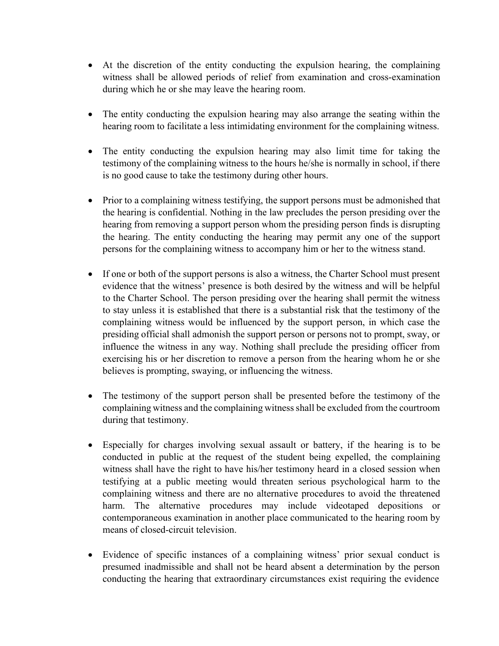- At the discretion of the entity conducting the expulsion hearing, the complaining witness shall be allowed periods of relief from examination and cross-examination during which he or she may leave the hearing room.
- The entity conducting the expulsion hearing may also arrange the seating within the hearing room to facilitate a less intimidating environment for the complaining witness.
- The entity conducting the expulsion hearing may also limit time for taking the testimony of the complaining witness to the hours he/she is normally in school, if there is no good cause to take the testimony during other hours.
- Prior to a complaining witness testifying, the support persons must be admonished that the hearing is confidential. Nothing in the law precludes the person presiding over the hearing from removing a support person whom the presiding person finds is disrupting the hearing. The entity conducting the hearing may permit any one of the support persons for the complaining witness to accompany him or her to the witness stand.
- If one or both of the support persons is also a witness, the Charter School must present evidence that the witness' presence is both desired by the witness and will be helpful to the Charter School. The person presiding over the hearing shall permit the witness to stay unless it is established that there is a substantial risk that the testimony of the complaining witness would be influenced by the support person, in which case the presiding official shall admonish the support person or persons not to prompt, sway, or influence the witness in any way. Nothing shall preclude the presiding officer from exercising his or her discretion to remove a person from the hearing whom he or she believes is prompting, swaying, or influencing the witness.
- The testimony of the support person shall be presented before the testimony of the complaining witness and the complaining witnessshall be excluded from the courtroom during that testimony.
- Especially for charges involving sexual assault or battery, if the hearing is to be conducted in public at the request of the student being expelled, the complaining witness shall have the right to have his/her testimony heard in a closed session when testifying at a public meeting would threaten serious psychological harm to the complaining witness and there are no alternative procedures to avoid the threatened harm. The alternative procedures may include videotaped depositions or contemporaneous examination in another place communicated to the hearing room by means of closed-circuit television.
- Evidence of specific instances of a complaining witness' prior sexual conduct is presumed inadmissible and shall not be heard absent a determination by the person conducting the hearing that extraordinary circumstances exist requiring the evidence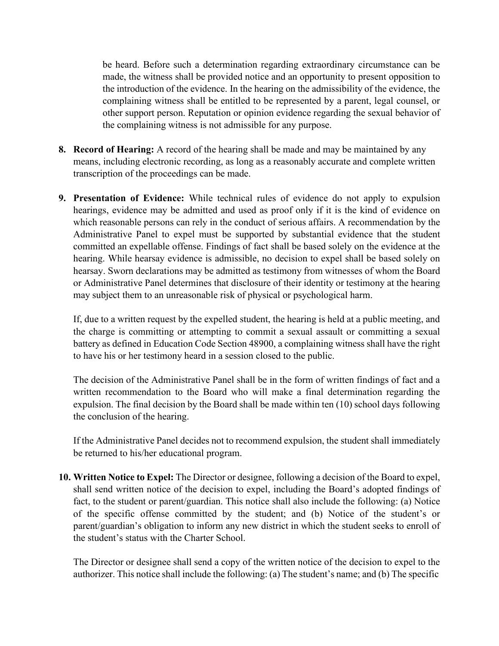be heard. Before such a determination regarding extraordinary circumstance can be made, the witness shall be provided notice and an opportunity to present opposition to the introduction of the evidence. In the hearing on the admissibility of the evidence, the complaining witness shall be entitled to be represented by a parent, legal counsel, or other support person. Reputation or opinion evidence regarding the sexual behavior of the complaining witness is not admissible for any purpose.

- **8. Record of Hearing:** A record of the hearing shall be made and may be maintained by any means, including electronic recording, as long as a reasonably accurate and complete written transcription of the proceedings can be made.
- **9. Presentation of Evidence:** While technical rules of evidence do not apply to expulsion hearings, evidence may be admitted and used as proof only if it is the kind of evidence on which reasonable persons can rely in the conduct of serious affairs. A recommendation by the Administrative Panel to expel must be supported by substantial evidence that the student committed an expellable offense. Findings of fact shall be based solely on the evidence at the hearing. While hearsay evidence is admissible, no decision to expel shall be based solely on hearsay. Sworn declarations may be admitted as testimony from witnesses of whom the Board or Administrative Panel determines that disclosure of their identity or testimony at the hearing may subject them to an unreasonable risk of physical or psychological harm.

If, due to a written request by the expelled student, the hearing is held at a public meeting, and the charge is committing or attempting to commit a sexual assault or committing a sexual battery as defined in Education Code Section 48900, a complaining witness shall have the right to have his or her testimony heard in a session closed to the public.

The decision of the Administrative Panel shall be in the form of written findings of fact and a written recommendation to the Board who will make a final determination regarding the expulsion. The final decision by the Board shall be made within ten (10) school days following the conclusion of the hearing.

If the Administrative Panel decides not to recommend expulsion, the student shall immediately be returned to his/her educational program.

**10. Written Notice to Expel:** The Director or designee, following a decision of the Board to expel, shall send written notice of the decision to expel, including the Board's adopted findings of fact, to the student or parent/guardian. This notice shall also include the following: (a) Notice of the specific offense committed by the student; and (b) Notice of the student's or parent/guardian's obligation to inform any new district in which the student seeks to enroll of the student's status with the Charter School.

The Director or designee shall send a copy of the written notice of the decision to expel to the authorizer. This notice shall include the following: (a) The student's name; and (b) The specific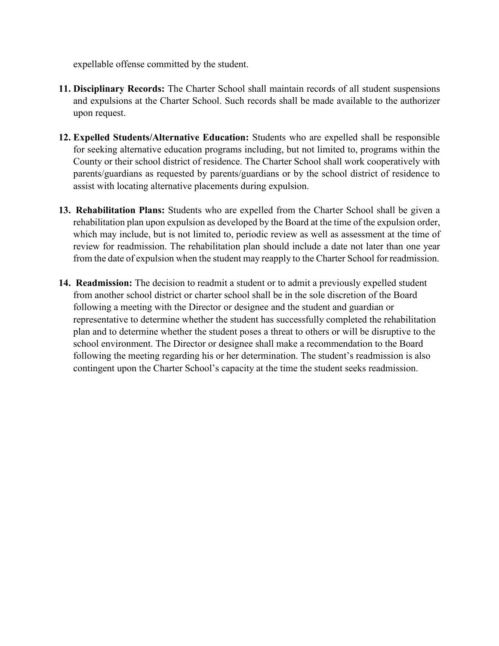expellable offense committed by the student.

- **11. Disciplinary Records:** The Charter School shall maintain records of all student suspensions and expulsions at the Charter School. Such records shall be made available to the authorizer upon request.
- **12. Expelled Students/Alternative Education:** Students who are expelled shall be responsible for seeking alternative education programs including, but not limited to, programs within the County or their school district of residence. The Charter School shall work cooperatively with parents/guardians as requested by parents/guardians or by the school district of residence to assist with locating alternative placements during expulsion.
- **13. Rehabilitation Plans:** Students who are expelled from the Charter School shall be given a rehabilitation plan upon expulsion as developed by the Board at the time of the expulsion order, which may include, but is not limited to, periodic review as well as assessment at the time of review for readmission. The rehabilitation plan should include a date not later than one year from the date of expulsion when the student may reapply to the Charter School for readmission.
- **14. Readmission:** The decision to readmit a student or to admit a previously expelled student from another school district or charter school shall be in the sole discretion of the Board following a meeting with the Director or designee and the student and guardian or representative to determine whether the student has successfully completed the rehabilitation plan and to determine whether the student poses a threat to others or will be disruptive to the school environment. The Director or designee shall make a recommendation to the Board following the meeting regarding his or her determination. The student's readmission is also contingent upon the Charter School's capacity at the time the student seeks readmission.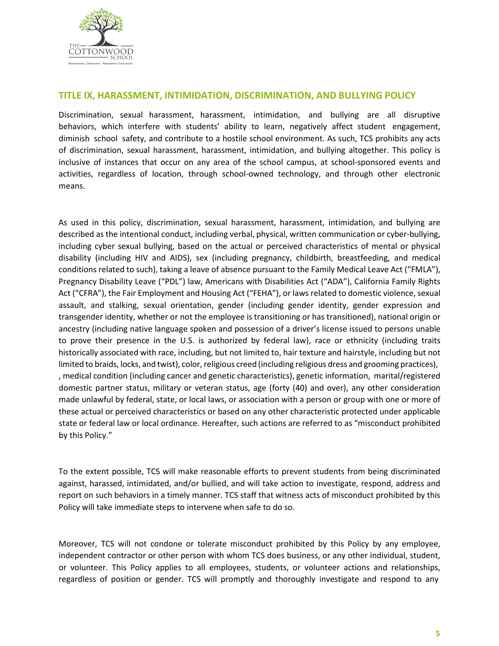

#### **TITLE IX, HARASSMENT, INTIMIDATION, DISCRIMINATION, AND BULLYING POLICY**

Discrimination, sexual harassment, harassment, intimidation, and bullying are all disruptive behaviors, which interfere with students' ability to learn, negatively affect student engagement, diminish school safety, and contribute to a hostile school environment. As such, TCS prohibits any acts of discrimination, sexual harassment, harassment, intimidation, and bullying altogether. This policy is inclusive of instances that occur on any area of the school campus, at school-sponsored events and activities, regardless of location, through school-owned technology, and through other electronic means.

As used in this policy, discrimination, sexual harassment, harassment, intimidation, and bullying are described as the intentional conduct, including verbal, physical, written communication or cyber-bullying, including cyber sexual bullying, based on the actual or perceived characteristics of mental or physical disability (including HIV and AIDS), sex (including pregnancy, childbirth, breastfeeding, and medical conditions related to such), taking a leave of absence pursuant to the Family Medical Leave Act ("FMLA"), Pregnancy Disability Leave ("PDL") law, Americans with Disabilities Act ("ADA"), California Family Rights Act ("CFRA"), the Fair Employment and Housing Act ("FEHA"), or laws related to domestic violence, sexual assault, and stalking, sexual orientation, gender (including gender identity, gender expression and transgender identity, whether or not the employee is transitioning or has transitioned), national origin or ancestry (including native language spoken and possession of a driver's license issued to persons unable to prove their presence in the U.S. is authorized by federal law), race or ethnicity (including traits historically associated with race, including, but not limited to, hair texture and hairstyle, including but not limited to braids, locks, and twist), color, religious creed (including religious dress and grooming practices), , medical condition (including cancer and genetic characteristics), genetic information, marital/registered domestic partner status, military or veteran status, age (forty (40) and over), any other consideration made unlawful by federal, state, or local laws, or association with a person or group with one or more of these actual or perceived characteristics or based on any other characteristic protected under applicable state or federal law or local ordinance. Hereafter, such actions are referred to as "misconduct prohibited by this Policy."

To the extent possible, TCS will make reasonable efforts to prevent students from being discriminated against, harassed, intimidated, and/or bullied, and will take action to investigate, respond, address and report on such behaviors in a timely manner. TCS staff that witness acts of misconduct prohibited by this Policy will take immediate steps to intervene when safe to do so.

Moreover, TCS will not condone or tolerate misconduct prohibited by this Policy by any employee, independent contractor or other person with whom TCS does business, or any other individual, student, or volunteer. This Policy applies to all employees, students, or volunteer actions and relationships, regardless of position or gender. TCS will promptly and thoroughly investigate and respond to any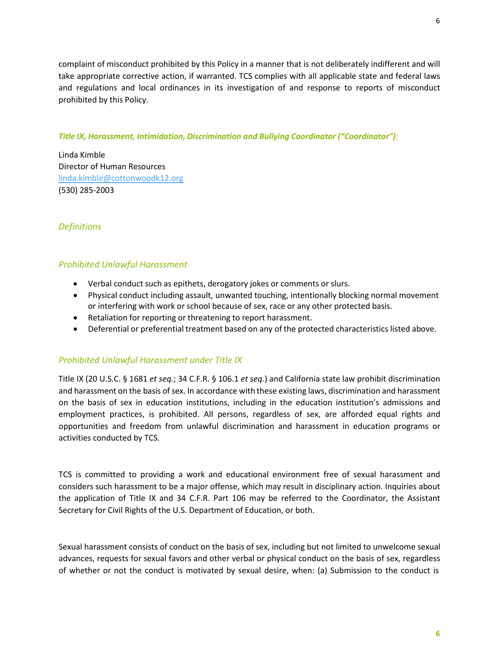complaint of misconduct prohibited by this Policy in a manner that is not deliberately indifferent and will take appropriate corrective action, if warranted. TCS complies with all applicable state and federal laws and regulations and local ordinances in its investigation of and response to reports of misconduct prohibited by this Policy.

#### *Title IX, Harassment, Intimidation, Discrimination and Bullying Coordinator ("Coordinator"):*

Linda Kimble Director of Human Resources [linda.kimble@cottonwoodk12.org](mailto:linda.kimble@cottonwoodk12.org) (530) 285-2003

## *Definitions*

## *Prohibited Unlawful Harassment*

- Verbal conduct such as epithets, derogatory jokes or comments or slurs.
- Physical conduct including assault, unwanted touching, intentionally blocking normal movement or interfering with work or school because of sex, race or any other protected basis.
- Retaliation for reporting or threatening to report harassment.
- Deferential or preferential treatment based on any of the protected characteristics listed above.

#### *Prohibited Unlawful Harassment under Title IX*

Title IX (20 U.S.C. § 1681 *et seq.*; 34 C.F.R. § 106.1 *et seq.*) and California state law prohibit discrimination and harassment on the basis of sex. In accordance with these existing laws, discrimination and harassment on the basis of sex in education institutions, including in the education institution's admissions and employment practices, is prohibited. All persons, regardless of sex, are afforded equal rights and opportunities and freedom from unlawful discrimination and harassment in education programs or activities conducted by TCS.

TCS is committed to providing a work and educational environment free of sexual harassment and considers such harassment to be a major offense, which may result in disciplinary action. Inquiries about the application of Title IX and 34 C.F.R. Part 106 may be referred to the Coordinator, the Assistant Secretary for Civil Rights of the U.S. Department of Education, or both.

Sexual harassment consists of conduct on the basis of sex, including but not limited to unwelcome sexual advances, requests for sexual favors and other verbal or physical conduct on the basis of sex, regardless of whether or not the conduct is motivated by sexual desire, when: (a) Submission to the conduct is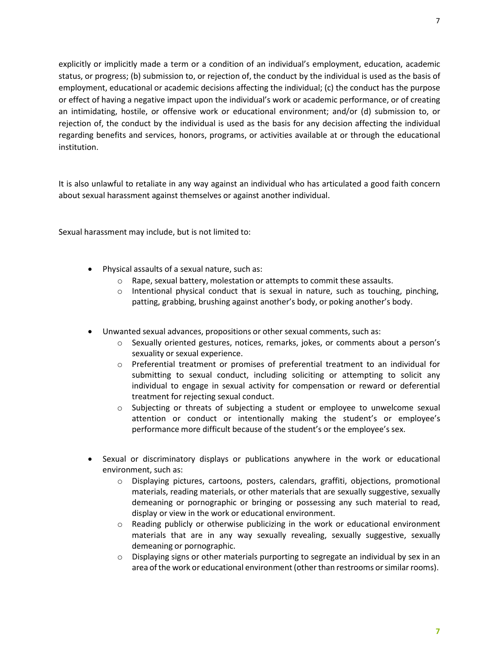explicitly or implicitly made a term or a condition of an individual's employment, education, academic status, or progress; (b) submission to, or rejection of, the conduct by the individual is used as the basis of employment, educational or academic decisions affecting the individual; (c) the conduct has the purpose or effect of having a negative impact upon the individual's work or academic performance, or of creating

an intimidating, hostile, or offensive work or educational environment; and/or (d) submission to, or rejection of, the conduct by the individual is used as the basis for any decision affecting the individual regarding benefits and services, honors, programs, or activities available at or through the educational institution.

It is also unlawful to retaliate in any way against an individual who has articulated a good faith concern about sexual harassment against themselves or against another individual.

Sexual harassment may include, but is not limited to:

- Physical assaults of a sexual nature, such as:
	- $\circ$  Rape, sexual battery, molestation or attempts to commit these assaults.
	- $\circ$  Intentional physical conduct that is sexual in nature, such as touching, pinching, patting, grabbing, brushing against another's body, or poking another's body.
- Unwanted sexual advances, propositions or other sexual comments, such as:
	- o Sexually oriented gestures, notices, remarks, jokes, or comments about a person's sexuality or sexual experience.
	- o Preferential treatment or promises of preferential treatment to an individual for submitting to sexual conduct, including soliciting or attempting to solicit any individual to engage in sexual activity for compensation or reward or deferential treatment for rejecting sexual conduct.
	- o Subjecting or threats of subjecting a student or employee to unwelcome sexual attention or conduct or intentionally making the student's or employee's performance more difficult because of the student's or the employee's sex.
- Sexual or discriminatory displays or publications anywhere in the work or educational environment, such as:
	- o Displaying pictures, cartoons, posters, calendars, graffiti, objections, promotional materials, reading materials, or other materials that are sexually suggestive, sexually demeaning or pornographic or bringing or possessing any such material to read, display or view in the work or educational environment.
	- o Reading publicly or otherwise publicizing in the work or educational environment materials that are in any way sexually revealing, sexually suggestive, sexually demeaning or pornographic.
	- $\circ$  Displaying signs or other materials purporting to segregate an individual by sex in an area of the work or educational environment (other than restrooms or similar rooms).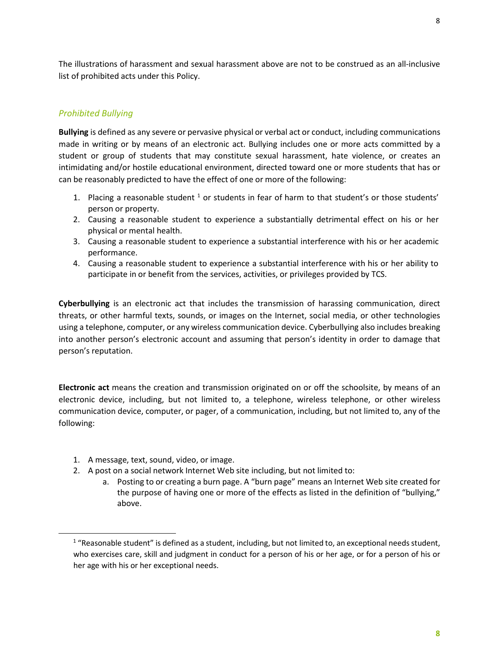The illustrations of harassment and sexual harassment above are not to be construed as an all-inclusive list of prohibited acts under this Policy.

#### *Prohibited Bullying*

**Bullying** is defined as any severe or pervasive physical or verbal act or conduct, including communications made in writing or by means of an electronic act. Bullying includes one or more acts committed by a student or group of students that may constitute sexual harassment, hate violence, or creates an intimidating and/or hostile educational environment, directed toward one or more students that has or can be reasonably predicted to have the effect of one or more of the following:

- 1. Placing a reasonable student  $1$  or students in fear of harm to that student's or those students' person or property.
- 2. Causing a reasonable student to experience a substantially detrimental effect on his or her physical or mental health.
- 3. Causing a reasonable student to experience a substantial interference with his or her academic performance.
- 4. Causing a reasonable student to experience a substantial interference with his or her ability to participate in or benefit from the services, activities, or privileges provided by TCS.

**Cyberbullying** is an electronic act that includes the transmission of harassing communication, direct threats, or other harmful texts, sounds, or images on the Internet, social media, or other technologies using a telephone, computer, or any wireless communication device. Cyberbullying also includes breaking into another person's electronic account and assuming that person's identity in order to damage that person's reputation.

**Electronic act** means the creation and transmission originated on or off the schoolsite, by means of an electronic device, including, but not limited to, a telephone, wireless telephone, or other wireless communication device, computer, or pager, of a communication, including, but not limited to, any of the following:

- 1. A message, text, sound, video, or image.
- 2. A post on a social network Internet Web site including, but not limited to:
	- a. Posting to or creating a burn page. A "burn page" means an Internet Web site created for the purpose of having one or more of the effects as listed in the definition of "bullying," above.

 $1$  "Reasonable student" is defined as a student, including, but not limited to, an exceptional needs student, who exercises care, skill and judgment in conduct for a person of his or her age, or for a person of his or her age with his or her exceptional needs.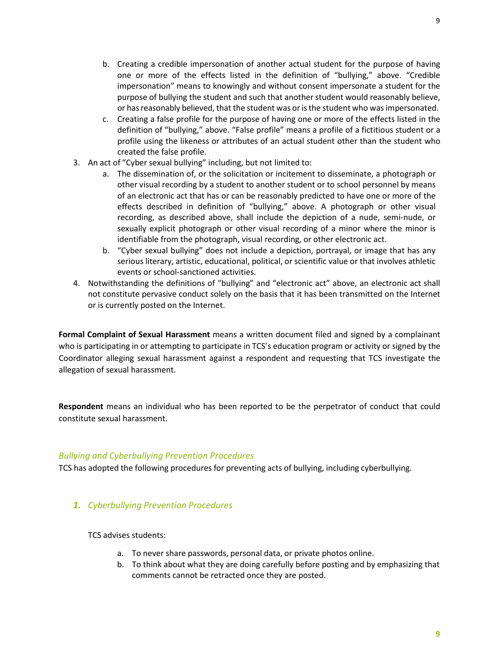- b. Creating a credible impersonation of another actual student for the purpose of having one or more of the effects listed in the definition of "bullying," above. "Credible impersonation" means to knowingly and without consent impersonate a student for the purpose of bullying the student and such that anotherstudent would reasonably believe, or has reasonably believed, that the student was or is the student who was impersonated.
- c. Creating a false profile for the purpose of having one or more of the effects listed in the definition of "bullying," above. "False profile" means a profile of a fictitious student or a profile using the likeness or attributes of an actual student other than the student who created the false profile.
- 3. An act of "Cyber sexual bullying" including, but not limited to:
	- a. The dissemination of, or the solicitation or incitement to disseminate, a photograph or other visual recording by a student to another student or to school personnel by means of an electronic act that has or can be reasonably predicted to have one or more of the effects described in definition of "bullying," above. A photograph or other visual recording, as described above, shall include the depiction of a nude, semi-nude, or sexually explicit photograph or other visual recording of a minor where the minor is identifiable from the photograph, visual recording, or other electronic act.
	- b. "Cyber sexual bullying" does not include a depiction, portrayal, or image that has any serious literary, artistic, educational, political, or scientific value or that involves athletic events or school-sanctioned activities.
- 4. Notwithstanding the definitions of "bullying" and "electronic act" above, an electronic act shall not constitute pervasive conduct solely on the basis that it has been transmitted on the Internet or is currently posted on the Internet.

**Formal Complaint of Sexual Harassment** means a written document filed and signed by a complainant who is participating in or attempting to participate in TCS's education program or activity or signed by the Coordinator alleging sexual harassment against a respondent and requesting that TCS investigate the allegation of sexual harassment.

**Respondent** means an individual who has been reported to be the perpetrator of conduct that could constitute sexual harassment.

#### *Bullying and Cyberbullying Prevention Procedures*

TCS has adopted the following procedures for preventing acts of bullying, including cyberbullying.

#### *1. Cyberbullying Prevention Procedures*

TCS advises students:

- a. To never share passwords, personal data, or private photos online.
- b. To think about what they are doing carefully before posting and by emphasizing that comments cannot be retracted once they are posted.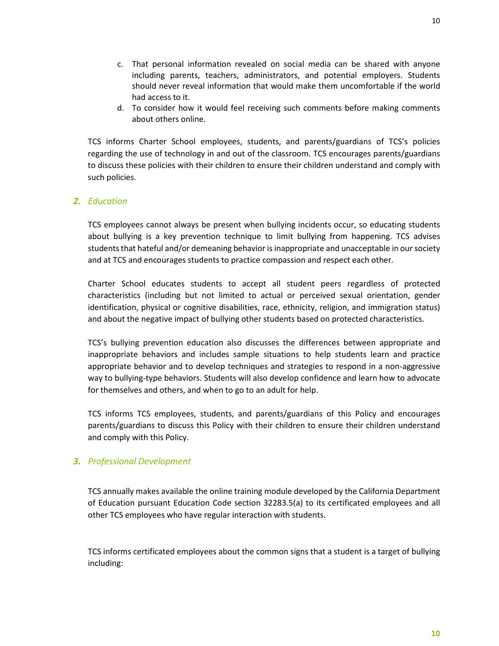- c. That personal information revealed on social media can be shared with anyone including parents, teachers, administrators, and potential employers. Students should never reveal information that would make them uncomfortable if the world had access to it.
- d. To consider how it would feel receiving such comments before making comments about others online.

TCS informs Charter School employees, students, and parents/guardians of TCS's policies regarding the use of technology in and out of the classroom. TCS encourages parents/guardians to discuss these policies with their children to ensure their children understand and comply with such policies.

#### *2. Education*

TCS employees cannot always be present when bullying incidents occur, so educating students about bullying is a key prevention technique to limit bullying from happening. TCS advises students that hateful and/or demeaning behavior is inappropriate and unacceptable in our society and at TCS and encourages students to practice compassion and respect each other.

Charter School educates students to accept all student peers regardless of protected characteristics (including but not limited to actual or perceived sexual orientation, gender identification, physical or cognitive disabilities, race, ethnicity, religion, and immigration status) and about the negative impact of bullying other students based on protected characteristics.

TCS's bullying prevention education also discusses the differences between appropriate and inappropriate behaviors and includes sample situations to help students learn and practice appropriate behavior and to develop techniques and strategies to respond in a non-aggressive way to bullying-type behaviors. Students will also develop confidence and learn how to advocate for themselves and others, and when to go to an adult for help.

TCS informs TCS employees, students, and parents/guardians of this Policy and encourages parents/guardians to discuss this Policy with their children to ensure their children understand and comply with this Policy.

#### *3. Professional Development*

TCS annually makes available the online training module developed by the California Department of Education pursuant Education Code section 32283.5(a) to its certificated employees and all other TCS employees who have regular interaction with students.

TCS informs certificated employees about the common signs that a student is a target of bullying including: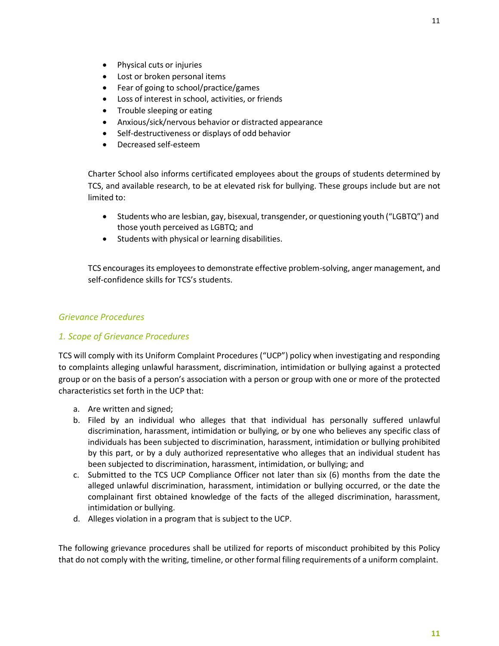- Physical cuts or injuries
- Lost or broken personal items
- Fear of going to school/practice/games
- Loss of interest in school, activities, or friends
- Trouble sleeping or eating
- Anxious/sick/nervous behavior or distracted appearance
- Self-destructiveness or displays of odd behavior
- Decreased self-esteem

Charter School also informs certificated employees about the groups of students determined by TCS, and available research, to be at elevated risk for bullying. These groups include but are not limited to:

- Students who are lesbian, gay, bisexual, transgender, or questioning youth ("LGBTQ") and those youth perceived as LGBTQ; and
- Students with physical or learning disabilities.

TCS encourages its employees to demonstrate effective problem-solving, anger management, and self-confidence skills for TCS's students.

## *Grievance Procedures*

## *1. Scope of Grievance Procedures*

TCS will comply with its Uniform Complaint Procedures ("UCP") policy when investigating and responding to complaints alleging unlawful harassment, discrimination, intimidation or bullying against a protected group or on the basis of a person's association with a person or group with one or more of the protected characteristics set forth in the UCP that:

- a. Are written and signed;
- b. Filed by an individual who alleges that that individual has personally suffered unlawful discrimination, harassment, intimidation or bullying, or by one who believes any specific class of individuals has been subjected to discrimination, harassment, intimidation or bullying prohibited by this part, or by a duly authorized representative who alleges that an individual student has been subjected to discrimination, harassment, intimidation, or bullying; and
- c. Submitted to the TCS UCP Compliance Officer not later than six (6) months from the date the alleged unlawful discrimination, harassment, intimidation or bullying occurred, or the date the complainant first obtained knowledge of the facts of the alleged discrimination, harassment, intimidation or bullying.
- d. Alleges violation in a program that is subject to the UCP.

The following grievance procedures shall be utilized for reports of misconduct prohibited by this Policy that do not comply with the writing, timeline, or other formal filing requirements of a uniform complaint.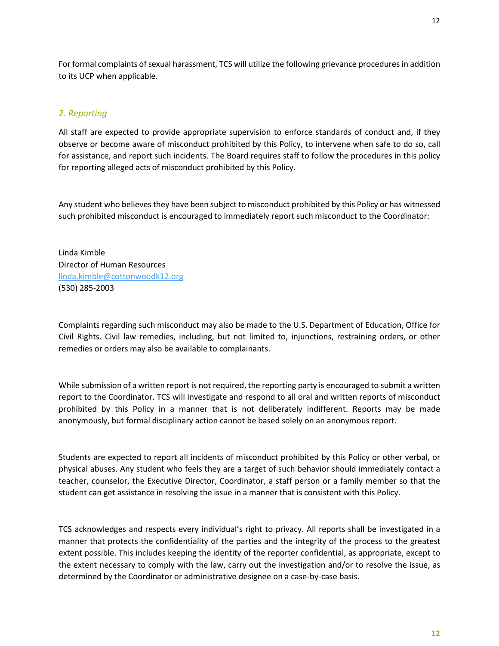For formal complaints of sexual harassment, TCS will utilize the following grievance procedures in addition to its UCP when applicable.

#### *2. Reporting*

All staff are expected to provide appropriate supervision to enforce standards of conduct and, if they observe or become aware of misconduct prohibited by this Policy, to intervene when safe to do so, call for assistance, and report such incidents. The Board requires staff to follow the procedures in this policy for reporting alleged acts of misconduct prohibited by this Policy.

Any student who believes they have been subject to misconduct prohibited by this Policy or has witnessed such prohibited misconduct is encouraged to immediately report such misconduct to the Coordinator:

Linda Kimble Director of Human Resources [linda.kimble@cottonwoodk12.org](mailto:linda.kimble@cottonwoodk12.org) (530) 285-2003

Complaints regarding such misconduct may also be made to the U.S. Department of Education, Office for Civil Rights. Civil law remedies, including, but not limited to, injunctions, restraining orders, or other remedies or orders may also be available to complainants.

While submission of a written report is not required, the reporting party is encouraged to submit a written report to the Coordinator. TCS will investigate and respond to all oral and written reports of misconduct prohibited by this Policy in a manner that is not deliberately indifferent. Reports may be made anonymously, but formal disciplinary action cannot be based solely on an anonymous report.

Students are expected to report all incidents of misconduct prohibited by this Policy or other verbal, or physical abuses. Any student who feels they are a target of such behavior should immediately contact a teacher, counselor, the Executive Director, Coordinator, a staff person or a family member so that the student can get assistance in resolving the issue in a manner that is consistent with this Policy.

TCS acknowledges and respects every individual's right to privacy. All reports shall be investigated in a manner that protects the confidentiality of the parties and the integrity of the process to the greatest extent possible. This includes keeping the identity of the reporter confidential, as appropriate, except to the extent necessary to comply with the law, carry out the investigation and/or to resolve the issue, as determined by the Coordinator or administrative designee on a case-by-case basis.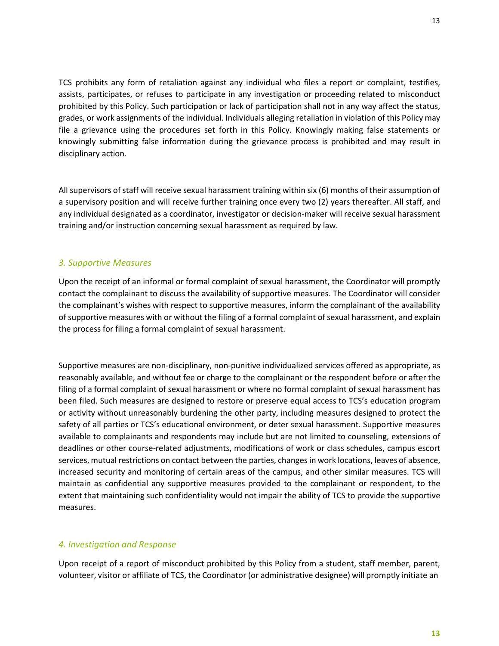TCS prohibits any form of retaliation against any individual who files a report or complaint, testifies, assists, participates, or refuses to participate in any investigation or proceeding related to misconduct prohibited by this Policy. Such participation or lack of participation shall not in any way affect the status, grades, or work assignments of the individual. Individuals alleging retaliation in violation of this Policy may file a grievance using the procedures set forth in this Policy. Knowingly making false statements or knowingly submitting false information during the grievance process is prohibited and may result in disciplinary action.

All supervisors of staff will receive sexual harassment training within six (6) months of their assumption of a supervisory position and will receive further training once every two (2) years thereafter. All staff, and any individual designated as a coordinator, investigator or decision-maker will receive sexual harassment training and/or instruction concerning sexual harassment as required by law.

## *3. Supportive Measures*

Upon the receipt of an informal or formal complaint of sexual harassment, the Coordinator will promptly contact the complainant to discuss the availability of supportive measures. The Coordinator will consider the complainant's wishes with respect to supportive measures, inform the complainant of the availability of supportive measures with or without the filing of a formal complaint ofsexual harassment, and explain the process for filing a formal complaint of sexual harassment.

Supportive measures are non-disciplinary, non-punitive individualized services offered as appropriate, as reasonably available, and without fee or charge to the complainant or the respondent before or after the filing of a formal complaint of sexual harassment or where no formal complaint of sexual harassment has been filed. Such measures are designed to restore or preserve equal access to TCS's education program or activity without unreasonably burdening the other party, including measures designed to protect the safety of all parties or TCS's educational environment, or deter sexual harassment. Supportive measures available to complainants and respondents may include but are not limited to counseling, extensions of deadlines or other course-related adjustments, modifications of work or class schedules, campus escort services, mutual restrictions on contact between the parties, changes in work locations, leaves of absence, increased security and monitoring of certain areas of the campus, and other similar measures. TCS will maintain as confidential any supportive measures provided to the complainant or respondent, to the extent that maintaining such confidentiality would not impair the ability of TCS to provide the supportive measures.

#### *4. Investigation and Response*

Upon receipt of a report of misconduct prohibited by this Policy from a student, staff member, parent, volunteer, visitor or affiliate of TCS, the Coordinator (or administrative designee) will promptly initiate an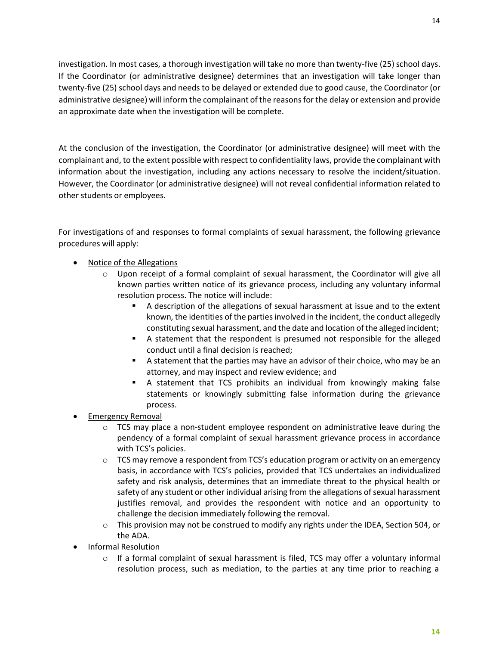investigation. In most cases, a thorough investigation will take no more than twenty-five (25) school days. If the Coordinator (or administrative designee) determines that an investigation will take longer than twenty-five (25) school days and needs to be delayed or extended due to good cause, the Coordinator (or administrative designee) will inform the complainant of the reasonsfor the delay or extension and provide an approximate date when the investigation will be complete.

At the conclusion of the investigation, the Coordinator (or administrative designee) will meet with the complainant and, to the extent possible with respect to confidentiality laws, provide the complainant with information about the investigation, including any actions necessary to resolve the incident/situation. However, the Coordinator (or administrative designee) will not reveal confidential information related to other students or employees.

For investigations of and responses to formal complaints of sexual harassment, the following grievance procedures will apply:

- Notice of the Allegations
	- $\circ$  Upon receipt of a formal complaint of sexual harassment, the Coordinator will give all known parties written notice of its grievance process, including any voluntary informal resolution process. The notice will include:
		- A description of the allegations of sexual harassment at issue and to the extent known, the identities of the parties involved in the incident, the conduct allegedly constituting sexual harassment, and the date and location ofthe alleged incident;
		- A statement that the respondent is presumed not responsible for the alleged conduct until a final decision is reached;
		- A statement that the parties may have an advisor of their choice, who may be an attorney, and may inspect and review evidence; and
		- A statement that TCS prohibits an individual from knowingly making false statements or knowingly submitting false information during the grievance process.
- Emergency Removal
	- $\circ$  TCS may place a non-student employee respondent on administrative leave during the pendency of a formal complaint of sexual harassment grievance process in accordance with TCS's policies.
	- $\circ$  TCS may remove a respondent from TCS's education program or activity on an emergency basis, in accordance with TCS's policies, provided that TCS undertakes an individualized safety and risk analysis, determines that an immediate threat to the physical health or safety of any student or other individual arising from the allegations of sexual harassment justifies removal, and provides the respondent with notice and an opportunity to challenge the decision immediately following the removal.
	- $\circ$  This provision may not be construed to modify any rights under the IDEA, Section 504, or the ADA.
- Informal Resolution
	- $\circ$  If a formal complaint of sexual harassment is filed, TCS may offer a voluntary informal resolution process, such as mediation, to the parties at any time prior to reaching a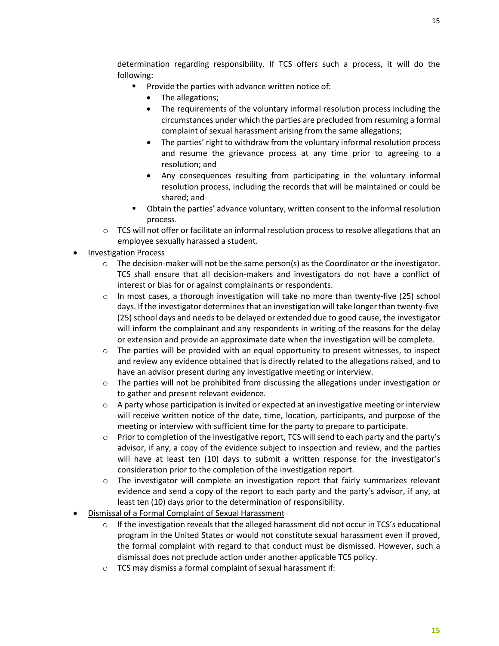determination regarding responsibility. If TCS offers such a process, it will do the following:

- Provide the parties with advance written notice of:
	- The allegations;
	- The requirements of the voluntary informal resolution process including the circumstances under which the parties are precluded from resuming a formal complaint of sexual harassment arising from the same allegations;
	- The parties' right to withdraw from the voluntary informal resolution process and resume the grievance process at any time prior to agreeing to a resolution; and
	- Any consequences resulting from participating in the voluntary informal resolution process, including the records that will be maintained or could be shared; and
- Obtain the parties' advance voluntary, written consent to the informal resolution process.
- $\circ$  TCS will not offer or facilitate an informal resolution process to resolve allegations that an employee sexually harassed a student.
- Investigation Process
	- o The decision-maker will not be the same person(s) as the Coordinator or the investigator. TCS shall ensure that all decision-makers and investigators do not have a conflict of interest or bias for or against complainants or respondents.
	- o In most cases, a thorough investigation will take no more than twenty-five (25) school days. If the investigator determines that an investigation will take longer than twenty-five (25) school days and needs to be delayed or extended due to good cause, the investigator will inform the complainant and any respondents in writing of the reasons for the delay or extension and provide an approximate date when the investigation will be complete.
	- $\circ$  The parties will be provided with an equal opportunity to present witnesses, to inspect and review any evidence obtained that is directly related to the allegations raised, and to have an advisor present during any investigative meeting or interview.
	- $\circ$  The parties will not be prohibited from discussing the allegations under investigation or to gather and present relevant evidence.
	- $\circ$  A party whose participation is invited or expected at an investigative meeting or interview will receive written notice of the date, time, location, participants, and purpose of the meeting or interview with sufficient time for the party to prepare to participate.
	- $\circ$  Prior to completion of the investigative report, TCS will send to each party and the party's advisor, if any, a copy of the evidence subject to inspection and review, and the parties will have at least ten (10) days to submit a written response for the investigator's consideration prior to the completion of the investigation report.
	- o The investigator will complete an investigation report that fairly summarizes relevant evidence and send a copy of the report to each party and the party's advisor, if any, at least ten (10) days prior to the determination of responsibility.
- Dismissal of a Formal Complaint of Sexual Harassment
	- $\circ$  If the investigation reveals that the alleged harassment did not occur in TCS's educational program in the United States or would not constitute sexual harassment even if proved, the formal complaint with regard to that conduct must be dismissed. However, such a dismissal does not preclude action under another applicable TCS policy.
	- o TCS may dismiss a formal complaint of sexual harassment if: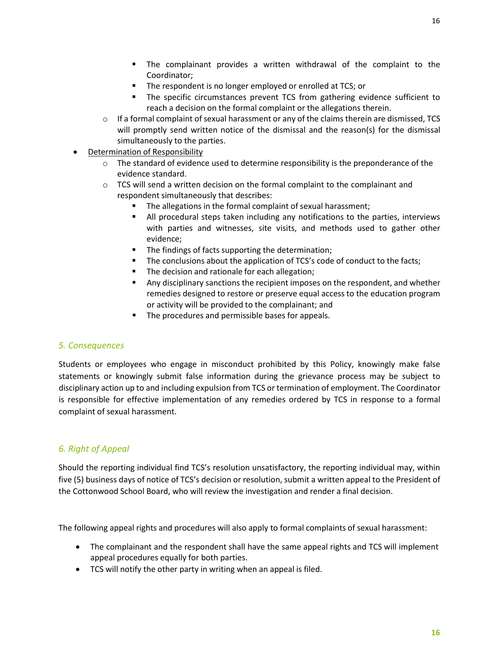- The complainant provides a written withdrawal of the complaint to the Coordinator;
- The respondent is no longer employed or enrolled at TCS; or
- The specific circumstances prevent TCS from gathering evidence sufficient to reach a decision on the formal complaint or the allegations therein.
- $\circ$  If a formal complaint of sexual harassment or any of the claims therein are dismissed, TCS will promptly send written notice of the dismissal and the reason(s) for the dismissal simultaneously to the parties.
- **Determination of Responsibility** 
	- $\circ$  The standard of evidence used to determine responsibility is the preponderance of the evidence standard.
	- o TCS will send a written decision on the formal complaint to the complainant and respondent simultaneously that describes:
		- The allegations in the formal complaint of sexual harassment;
		- All procedural steps taken including any notifications to the parties, interviews with parties and witnesses, site visits, and methods used to gather other evidence;
		- **The findings of facts supporting the determination;**
		- The conclusions about the application of TCS's code of conduct to the facts;
		- The decision and rationale for each allegation;
		- **Any disciplinary sanctions the recipient imposes on the respondent, and whether** remedies designed to restore or preserve equal access to the education program or activity will be provided to the complainant; and
		- The procedures and permissible bases for appeals.

## *5. Consequences*

Students or employees who engage in misconduct prohibited by this Policy, knowingly make false statements or knowingly submit false information during the grievance process may be subject to disciplinary action up to and including expulsion from TCS or termination of employment. The Coordinator is responsible for effective implementation of any remedies ordered by TCS in response to a formal complaint of sexual harassment.

## *6. Right of Appeal*

Should the reporting individual find TCS's resolution unsatisfactory, the reporting individual may, within five (5) business days of notice of TCS's decision or resolution, submit a written appeal to the President of the Cottonwood School Board, who will review the investigation and render a final decision.

The following appeal rights and procedures will also apply to formal complaints of sexual harassment:

- The complainant and the respondent shall have the same appeal rights and TCS will implement appeal procedures equally for both parties.
- TCS will notify the other party in writing when an appeal is filed.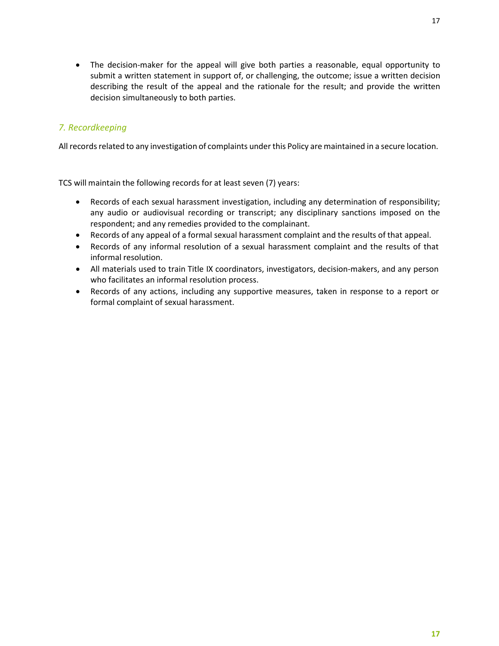• The decision-maker for the appeal will give both parties a reasonable, equal opportunity to submit a written statement in support of, or challenging, the outcome; issue a written decision describing the result of the appeal and the rationale for the result; and provide the written decision simultaneously to both parties.

## *7. Recordkeeping*

All records related to any investigation of complaints under this Policy are maintained in a secure location.

TCS will maintain the following records for at least seven (7) years:

- Records of each sexual harassment investigation, including any determination of responsibility; any audio or audiovisual recording or transcript; any disciplinary sanctions imposed on the respondent; and any remedies provided to the complainant.
- Records of any appeal of a formal sexual harassment complaint and the results of that appeal.
- Records of any informal resolution of a sexual harassment complaint and the results of that informal resolution.
- All materials used to train Title IX coordinators, investigators, decision-makers, and any person who facilitates an informal resolution process.
- Records of any actions, including any supportive measures, taken in response to a report or formal complaint of sexual harassment.